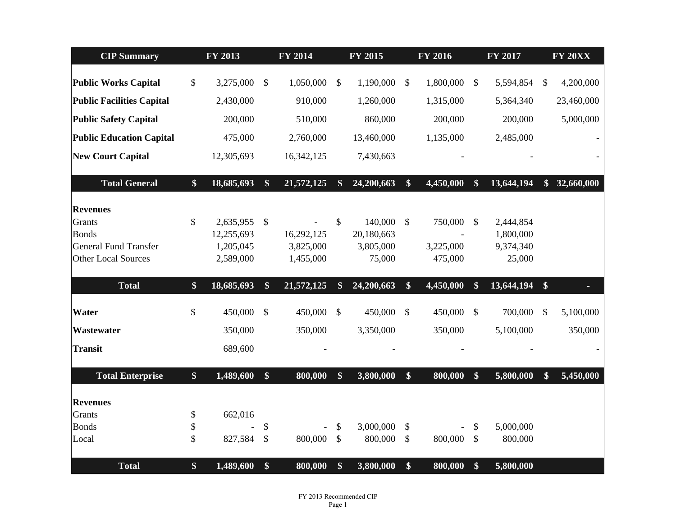| <b>CIP Summary</b>               |                   | FY 2013    |                         | <b>FY 2014</b> |                   | FY 2015    | <b>FY 2016</b>    |           |                           |            |               | <b>FY 2017</b> |  | <b>FY 20XX</b> |
|----------------------------------|-------------------|------------|-------------------------|----------------|-------------------|------------|-------------------|-----------|---------------------------|------------|---------------|----------------|--|----------------|
| <b>Public Works Capital</b>      | $\mathcal{S}$     | 3,275,000  | $\mathbb{S}$            | 1,050,000      | $\mathcal{S}$     | 1,190,000  | $\mathcal{S}$     | 1,800,000 | $\mathbb{S}$              | 5,594,854  | $\mathcal{S}$ | 4,200,000      |  |                |
|                                  |                   |            |                         |                |                   |            |                   |           |                           |            |               |                |  |                |
| <b>Public Facilities Capital</b> |                   | 2,430,000  |                         | 910,000        |                   | 1,260,000  |                   | 1,315,000 |                           | 5,364,340  |               | 23,460,000     |  |                |
| <b>Public Safety Capital</b>     |                   | 200,000    |                         | 510,000        |                   | 860,000    |                   | 200,000   |                           | 200,000    |               | 5,000,000      |  |                |
| <b>Public Education Capital</b>  |                   | 475,000    |                         | 2,760,000      |                   | 13,460,000 |                   | 1,135,000 |                           | 2,485,000  |               |                |  |                |
| <b>New Court Capital</b>         |                   | 12,305,693 |                         | 16,342,125     |                   | 7,430,663  |                   |           |                           |            |               |                |  |                |
| <b>Total General</b>             | $\$\$             | 18,685,693 | $\boldsymbol{\$}$       | 21,572,125     | $\boldsymbol{\$}$ | 24,200,663 | $\boldsymbol{\$}$ | 4,450,000 | \$                        | 13,644,194 | $\mathbf{\$}$ | 32,660,000     |  |                |
| <b>Revenues</b>                  |                   |            |                         |                |                   |            |                   |           |                           |            |               |                |  |                |
| <b>Grants</b>                    | \$                | 2,635,955  | $\sqrt[6]{\frac{1}{2}}$ |                | $\mathcal{S}$     | 140,000    | $\mathcal{S}$     | 750,000   | $\boldsymbol{\mathsf{S}}$ | 2,444,854  |               |                |  |                |
| <b>Bonds</b>                     |                   | 12,255,693 |                         | 16,292,125     |                   | 20,180,663 |                   |           |                           | 1,800,000  |               |                |  |                |
| <b>General Fund Transfer</b>     |                   | 1,205,045  |                         | 3,825,000      |                   | 3,805,000  |                   | 3,225,000 |                           | 9,374,340  |               |                |  |                |
| <b>Other Local Sources</b>       |                   | 2,589,000  |                         | 1,455,000      |                   | 75,000     |                   | 475,000   |                           | 25,000     |               |                |  |                |
| <b>Total</b>                     | $\$\$             | 18,685,693 | \$                      | 21,572,125     | \$                | 24,200,663 | \$                | 4,450,000 | \$                        | 13,644,194 | \$            |                |  |                |
| Water                            | \$                | 450,000    | $\mathcal{S}$           | 450,000        | $\mathcal{S}$     | 450,000    | $\mathcal{S}$     | 450,000   | $\mathcal{S}$             | 700,000    | \$            | 5,100,000      |  |                |
| Wastewater                       |                   | 350,000    |                         | 350,000        |                   | 3,350,000  |                   | 350,000   |                           | 5,100,000  |               | 350,000        |  |                |
| <b>Transit</b>                   |                   | 689,600    |                         |                |                   |            |                   |           |                           |            |               |                |  |                |
| <b>Total Enterprise</b>          | $\boldsymbol{\$}$ | 1,489,600  | $\mathbf{\$}$           | 800,000        | \$                | 3,800,000  | $\boldsymbol{\$}$ | 800,000   | \$                        | 5,800,000  | $\mathbf{\$}$ | 5,450,000      |  |                |
| <b>Revenues</b>                  |                   |            |                         |                |                   |            |                   |           |                           |            |               |                |  |                |
| Grants                           | \$                | 662,016    |                         |                |                   |            |                   |           |                           |            |               |                |  |                |
| <b>Bonds</b>                     | \$                |            | \$                      |                | \$                | 3,000,000  | $\mathcal{S}$     |           | \$                        | 5,000,000  |               |                |  |                |
| Local                            | \$                | 827,584    | \$                      | 800,000        | $\mathsf{\$}$     | 800,000    | $\mathcal{S}$     | 800,000   | $\mathbb{S}$              | 800,000    |               |                |  |                |
| <b>Total</b>                     | $\$\$             | 1,489,600  | \$                      | 800,000        | \$                | 3,800,000  | \$                | 800,000   | \$                        | 5,800,000  |               |                |  |                |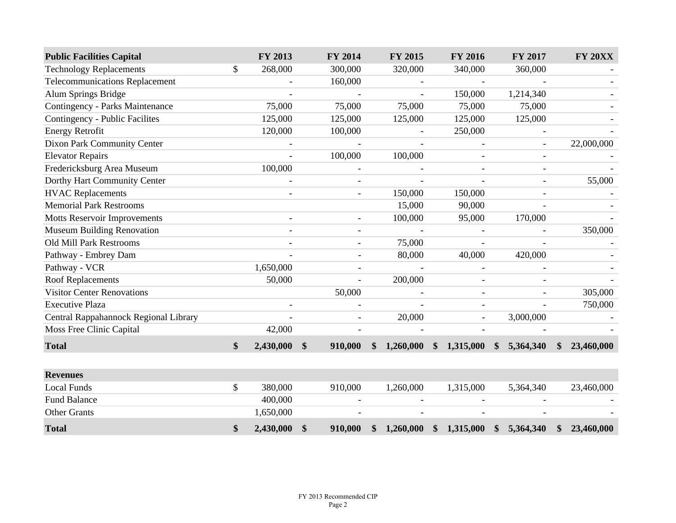| <b>Public Facilities Capital</b>       |               | FY 2013      |                   | FY 2014                  |               | FY 2015                  |               | <b>FY 2016</b>           |               | FY 2017                  |               | <b>FY 20XX</b> |
|----------------------------------------|---------------|--------------|-------------------|--------------------------|---------------|--------------------------|---------------|--------------------------|---------------|--------------------------|---------------|----------------|
| <b>Technology Replacements</b>         | \$            | 268,000      |                   | 300,000                  |               | 320,000                  |               | 340,000                  |               | 360,000                  |               |                |
| <b>Telecommunications Replacement</b>  |               |              |                   | 160,000                  |               |                          |               | $\blacksquare$           |               |                          |               |                |
| Alum Springs Bridge                    |               |              |                   | $\overline{a}$           |               |                          |               | 150,000                  |               | 1,214,340                |               |                |
| <b>Contingency - Parks Maintenance</b> |               | 75,000       |                   | 75,000                   |               | 75,000                   |               | 75,000                   |               | 75,000                   |               |                |
| Contingency - Public Facilites         |               | 125,000      |                   | 125,000                  |               | 125,000                  |               | 125,000                  |               | 125,000                  |               |                |
| <b>Energy Retrofit</b>                 |               | 120,000      |                   | 100,000                  |               |                          |               | 250,000                  |               |                          |               |                |
| <b>Dixon Park Community Center</b>     |               |              |                   | $\overline{\phantom{a}}$ |               | $\overline{\phantom{a}}$ |               |                          |               | $\overline{\phantom{a}}$ |               | 22,000,000     |
| <b>Elevator Repairs</b>                |               |              |                   | 100,000                  |               | 100,000                  |               |                          |               |                          |               |                |
| Fredericksburg Area Museum             |               | 100,000      |                   |                          |               |                          |               |                          |               |                          |               |                |
| Dorthy Hart Community Center           |               |              |                   |                          |               |                          |               |                          |               |                          |               | 55,000         |
| <b>HVAC</b> Replacements               |               |              |                   |                          |               | 150,000                  |               | 150,000                  |               |                          |               |                |
| <b>Memorial Park Restrooms</b>         |               |              |                   |                          |               | 15,000                   |               | 90,000                   |               | $\blacksquare$           |               |                |
| <b>Motts Reservoir Improvements</b>    |               |              |                   |                          |               | 100,000                  |               | 95,000                   |               | 170,000                  |               |                |
| <b>Museum Building Renovation</b>      |               |              |                   |                          |               |                          |               |                          |               |                          |               | 350,000        |
| <b>Old Mill Park Restrooms</b>         |               |              |                   |                          |               | 75,000                   |               |                          |               |                          |               |                |
| Pathway - Embrey Dam                   |               |              |                   |                          |               | 80,000                   |               | 40,000                   |               | 420,000                  |               |                |
| Pathway - VCR                          |               | 1,650,000    |                   | $\overline{\phantom{a}}$ |               | $\overline{\phantom{a}}$ |               | $\overline{\phantom{a}}$ |               |                          |               |                |
| <b>Roof Replacements</b>               |               | 50,000       |                   |                          |               | 200,000                  |               |                          |               |                          |               |                |
| <b>Visitor Center Renovations</b>      |               |              |                   | 50,000                   |               |                          |               | $\overline{\phantom{a}}$ |               |                          |               | 305,000        |
| <b>Executive Plaza</b>                 |               |              |                   |                          |               |                          |               |                          |               |                          |               | 750,000        |
| Central Rappahannock Regional Library  |               |              |                   |                          |               | 20,000                   |               |                          |               | 3,000,000                |               |                |
| Moss Free Clinic Capital               |               | 42,000       |                   |                          |               |                          |               |                          |               |                          |               |                |
| <b>Total</b>                           | $\mathbf{\$}$ | 2,430,000 \$ |                   | 910,000                  | \$            | 1,260,000                |               | \$1,315,000              | $\mathbf{\$}$ | 5,364,340                | $\mathbf{\$}$ | 23,460,000     |
|                                        |               |              |                   |                          |               |                          |               |                          |               |                          |               |                |
| <b>Revenues</b>                        |               |              |                   |                          |               |                          |               |                          |               |                          |               |                |
| <b>Local Funds</b>                     | \$            | 380,000      |                   | 910,000                  |               | 1,260,000                |               | 1,315,000                |               | 5,364,340                |               | 23,460,000     |
| <b>Fund Balance</b>                    |               | 400,000      |                   |                          |               |                          |               |                          |               |                          |               |                |
| <b>Other Grants</b>                    |               | 1,650,000    |                   |                          |               |                          |               |                          |               |                          |               |                |
| <b>Total</b>                           | \$            | 2,430,000    | $\boldsymbol{\$}$ | 910,000                  | $\mathbf{\$}$ | 1,260,000                | $\mathbf{\$}$ | 1,315,000                | $\frac{1}{2}$ | 5,364,340                | \$            | 23,460,000     |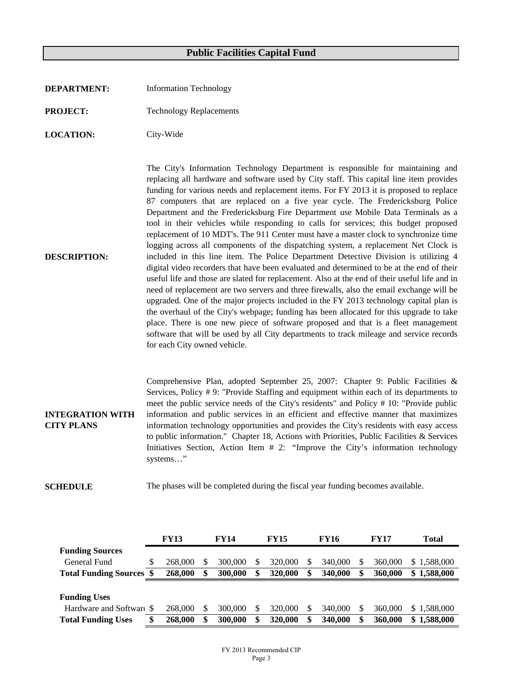- **DEPARTMENT:** Information Technology
- **PROJECT:** Technology Replacements
- **LOCATION:** City-Wide

**DESCRIPTION:** The City's Information Technology Department is responsible for maintaining and replacing all hardware and software used by City staff. This capital line item provides funding for various needs and replacement items. For FY 2013 it is proposed to replace 87 computers that are replaced on a five year cycle. The Fredericksburg Police Department and the Fredericksburg Fire Department use Mobile Data Terminals as a tool in their vehicles while responding to calls for services; this budget proposed replacement of 10 MDT's. The 911 Center must have a master clock to synchronize time logging across all components of the dispatching system, a replacement Net Clock is included in this line item. The Police Department Detective Division is utilizing 4 digital video recorders that have been evaluated and determined to be at the end of their useful life and those are slated for replacement. Also at the end of their useful life and in need of replacement are two servers and three firewalls, also the email exchange will be upgraded. One of the major projects included in the FY 2013 technology capital plan is the overhaul of the City's webpage; funding has been allocated for this upgrade to take place. There is one new piece of software proposed and that is a fleet management software that will be used by all City departments to track mileage and service records for each City owned vehicle.

**INTEGRATION WITH CITY PLANS** Comprehensive Plan, adopted September 25, 2007: Chapter 9: Public Facilities & Services, Policy # 9: "Provide Staffing and equipment within each of its departments to meet the public service needs of the City's residents" and Policy # 10: "Provide public information and public services in an efficient and effective manner that maximizes information technology opportunities and provides the City's residents with easy access to public information." Chapter 18, Actions with Priorities, Public Facilities & Services Initiatives Section, Action Item # 2: "Improve the City's information technology systems…"

**SCHEDULE** The phases will be completed during the fiscal year funding becomes available.

|                              | <b>FY13</b> |         | <b>FY14</b> |         | <b>FY15</b> |         | <b>FY16</b> |   | <b>FY17</b> | Total           |  |
|------------------------------|-------------|---------|-------------|---------|-------------|---------|-------------|---|-------------|-----------------|--|
| <b>Funding Sources</b>       |             |         |             |         |             |         |             |   |             |                 |  |
| General Fund                 |             | 268,000 |             | 300,000 |             | 320,000 | 340,000     |   | 360,000     | \$1,588,000     |  |
| <b>Total Funding Sources</b> |             | 268,000 | \$          | 300,000 | S           | 320,000 | 340,000     | S | 360,000     | 1,588,000<br>\$ |  |
|                              |             |         |             |         |             |         |             |   |             |                 |  |
|                              |             |         |             |         |             |         |             |   |             |                 |  |
| <b>Funding Uses</b>          |             |         |             |         |             |         |             |   |             |                 |  |
| Hardware and Software \$     |             | 268,000 |             | 300,000 |             | 320,000 | 340,000     |   | 360,000     | \$1.588,000     |  |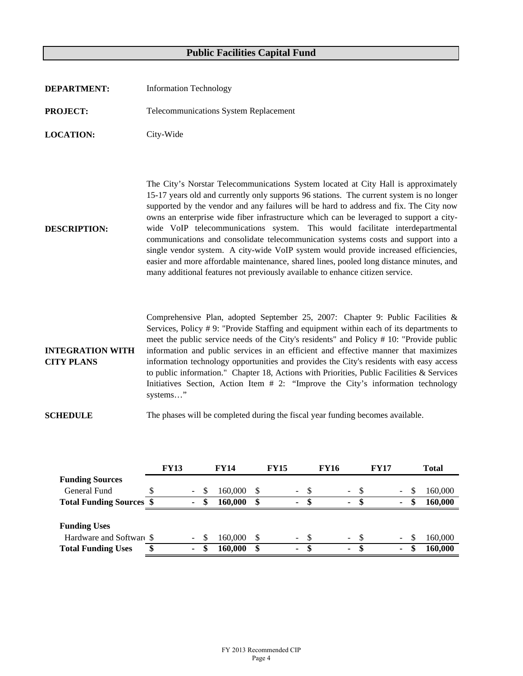| <b>DEPARTMENT:</b>                           | <b>Information Technology</b>                                                                                                                                                                                                                                                                                                                                                                                                                                                                                                                                                                                                                                                                                                                                                                              |
|----------------------------------------------|------------------------------------------------------------------------------------------------------------------------------------------------------------------------------------------------------------------------------------------------------------------------------------------------------------------------------------------------------------------------------------------------------------------------------------------------------------------------------------------------------------------------------------------------------------------------------------------------------------------------------------------------------------------------------------------------------------------------------------------------------------------------------------------------------------|
| <b>PROJECT:</b>                              | <b>Telecommunications System Replacement</b>                                                                                                                                                                                                                                                                                                                                                                                                                                                                                                                                                                                                                                                                                                                                                               |
| <b>LOCATION:</b>                             | City-Wide                                                                                                                                                                                                                                                                                                                                                                                                                                                                                                                                                                                                                                                                                                                                                                                                  |
| <b>DESCRIPTION:</b>                          | The City's Norstar Telecommunications System located at City Hall is approximately<br>15-17 years old and currently only supports 96 stations. The current system is no longer<br>supported by the vendor and any failures will be hard to address and fix. The City now<br>owns an enterprise wide fiber infrastructure which can be leveraged to support a city-<br>wide VoIP telecommunications system. This would facilitate interdepartmental<br>communications and consolidate telecommunication systems costs and support into a<br>single vendor system. A city-wide VoIP system would provide increased efficiencies,<br>easier and more affordable maintenance, shared lines, pooled long distance minutes, and<br>many additional features not previously available to enhance citizen service. |
| <b>INTEGRATION WITH</b><br><b>CITY PLANS</b> | Comprehensive Plan, adopted September 25, 2007: Chapter 9: Public Facilities &<br>Services, Policy #9: "Provide Staffing and equipment within each of its departments to<br>meet the public service needs of the City's residents" and Policy # 10: "Provide public<br>information and public services in an efficient and effective manner that maximizes<br>information technology opportunities and provides the City's residents with easy access<br>to public information." Chapter 18, Actions with Priorities, Public Facilities $\&$ Services<br>Initiatives Section, Action Item # 2: "Improve the City's information technology<br>systems"                                                                                                                                                      |
| <b>SCHEDULE</b>                              | The phases will be completed during the fiscal year funding becomes available.                                                                                                                                                                                                                                                                                                                                                                                                                                                                                                                                                                                                                                                                                                                             |

|                                 |   | <b>FY13</b> |        |   | <b>FY14</b> | <b>FY15</b> |                |               | <b>FY16</b> |                |      | <b>FY17</b> |        |    | <b>Total</b> |
|---------------------------------|---|-------------|--------|---|-------------|-------------|----------------|---------------|-------------|----------------|------|-------------|--------|----|--------------|
| <b>Funding Sources</b>          |   |             |        |   |             |             |                |               |             |                |      |             |        |    |              |
| General Fund                    |   |             | $\sim$ |   | 160,000     |             | $\sim$         | - \$          |             | $- S$          |      |             | $\sim$ |    | 160,000      |
| <b>Total Funding Sources \$</b> |   |             | ٠      | S | 160,000     | \$          | $\blacksquare$ | S             |             | $\blacksquare$ | -SS  |             | ۰      | ٨D | 160,000      |
|                                 |   |             |        |   |             |             |                |               |             |                |      |             |        |    |              |
| <b>Funding Uses</b>             |   |             |        |   |             |             |                |               |             |                |      |             |        |    |              |
| Hardware and Software \$        |   |             | $\sim$ |   | 160,000     |             | $\sim$         | <sup>\$</sup> |             | $\sim$ $-$     | - \$ |             | $\sim$ |    | 160,000      |
| <b>Total Funding Uses</b>       | æ |             | ٠      |   | 160,000     |             | ۰              | S             |             | ٠              | £.   |             | ٠      |    | 160,000      |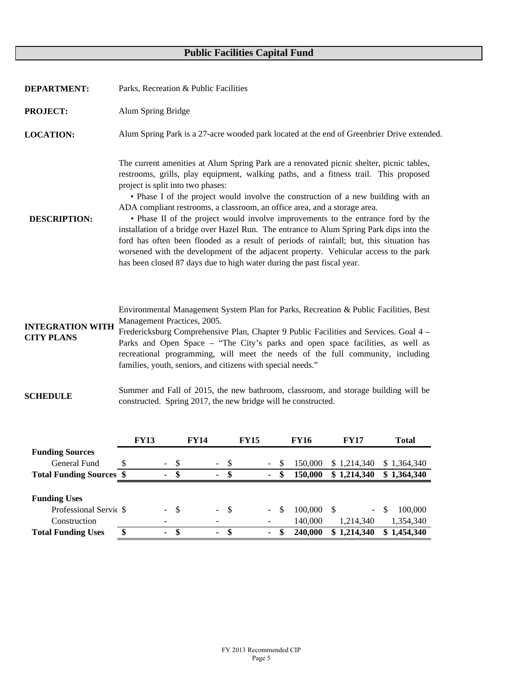| <b>DEPARTMENT:</b>                           | Parks, Recreation & Public Facilities                                                                                                                                                                                                                                                                                                                                                                                                                                                                                                                                                                                                                                                                                                                                                                                               |
|----------------------------------------------|-------------------------------------------------------------------------------------------------------------------------------------------------------------------------------------------------------------------------------------------------------------------------------------------------------------------------------------------------------------------------------------------------------------------------------------------------------------------------------------------------------------------------------------------------------------------------------------------------------------------------------------------------------------------------------------------------------------------------------------------------------------------------------------------------------------------------------------|
| <b>PROJECT:</b>                              | Alum Spring Bridge                                                                                                                                                                                                                                                                                                                                                                                                                                                                                                                                                                                                                                                                                                                                                                                                                  |
| <b>LOCATION:</b>                             | Alum Spring Park is a 27-acre wooded park located at the end of Greenbrier Drive extended.                                                                                                                                                                                                                                                                                                                                                                                                                                                                                                                                                                                                                                                                                                                                          |
| <b>DESCRIPTION:</b>                          | The current amenities at Alum Spring Park are a renovated picnic shelter, picnic tables,<br>restrooms, grills, play equipment, walking paths, and a fitness trail. This proposed<br>project is split into two phases:<br>• Phase I of the project would involve the construction of a new building with an<br>ADA compliant restrooms, a classroom, an office area, and a storage area.<br>• Phase II of the project would involve improvements to the entrance ford by the<br>installation of a bridge over Hazel Run. The entrance to Alum Spring Park dips into the<br>ford has often been flooded as a result of periods of rainfall; but, this situation has<br>worsened with the development of the adjacent property. Vehicular access to the park<br>has been closed 87 days due to high water during the past fiscal year. |
| <b>INTEGRATION WITH</b><br><b>CITY PLANS</b> | Environmental Management System Plan for Parks, Recreation & Public Facilities, Best<br>Management Practices, 2005.<br>Fredericksburg Comprehensive Plan, Chapter 9 Public Facilities and Services. Goal 4 -<br>Parks and Open Space – "The City's parks and open space facilities, as well as<br>recreational programming, will meet the needs of the full community, including                                                                                                                                                                                                                                                                                                                                                                                                                                                    |

**SCHEDULE** Summer and Fall of 2015, the new bathroom, classroom, and storage building will be constructed. Spring 2017, the new bridge will be constructed.

families, youth, seniors, and citizens with special needs."

|                                 | <b>FY13</b>          |                    | <b>FY14</b> |        |      | <b>FY15</b> |                              |   | <b>FY16</b> | <b>FY17</b>     | <b>Total</b>             |
|---------------------------------|----------------------|--------------------|-------------|--------|------|-------------|------------------------------|---|-------------|-----------------|--------------------------|
| <b>Funding Sources</b>          |                      |                    |             |        |      |             |                              |   |             |                 |                          |
| General Fund                    |                      | -\$<br>$\sim$      |             | $\sim$ | - \$ |             | $\overline{\phantom{a}}$     |   | 150.000     | \$1,214,340     | \$1,364,340              |
| <b>Total Funding Sources \$</b> |                      | S<br>۰.            |             | ۰      | S    |             | ۰                            |   | 150,000     | \$1,214,340     | \$1,364,340              |
|                                 |                      |                    |             |        |      |             |                              |   |             |                 |                          |
| <b>Funding Uses</b>             |                      |                    |             |        |      |             |                              |   |             |                 |                          |
| Professional Servic \$          |                      | - \$<br>$\sim$ $-$ |             | $-$ \$ |      |             | $\overline{\phantom{a}}$     | S | 100,000     | -S<br>$\sim$    | <sup>\$</sup><br>100,000 |
| Construction                    |                      |                    |             |        |      |             | $\qquad \qquad \blacksquare$ |   | 140,000     | 1,214,340       | 1,354,340                |
| <b>Total Funding Uses</b>       | \$<br>$\blacksquare$ | \$                 |             | ٠      | -\$  |             | ٠                            |   | 240,000     | 1,214,340<br>\$ | \$1,454,340              |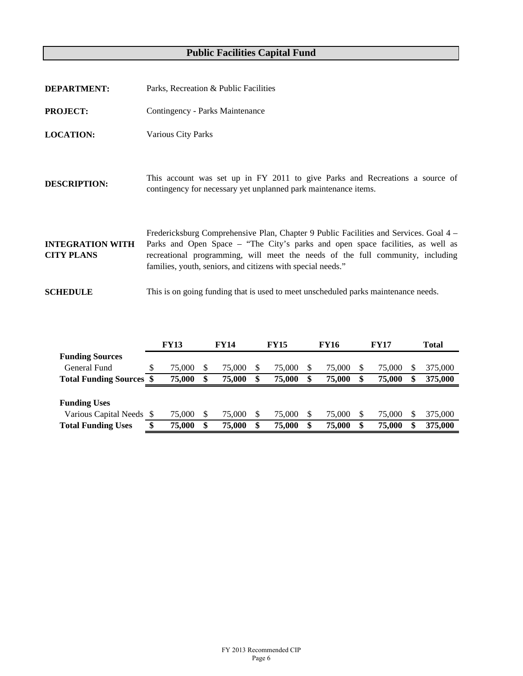| <b>DEPARTMENT:</b>                           | Parks, Recreation & Public Facilities                                                                                                                                                                                                                                                                                    |
|----------------------------------------------|--------------------------------------------------------------------------------------------------------------------------------------------------------------------------------------------------------------------------------------------------------------------------------------------------------------------------|
| <b>PROJECT:</b>                              | Contingency - Parks Maintenance                                                                                                                                                                                                                                                                                          |
| <b>LOCATION:</b>                             | Various City Parks                                                                                                                                                                                                                                                                                                       |
| <b>DESCRIPTION:</b>                          | This account was set up in FY 2011 to give Parks and Recreations a source of<br>contingency for necessary yet unplanned park maintenance items.                                                                                                                                                                          |
| <b>INTEGRATION WITH</b><br><b>CITY PLANS</b> | Fredericksburg Comprehensive Plan, Chapter 9 Public Facilities and Services. Goal 4 –<br>Parks and Open Space – "The City's parks and open space facilities, as well as<br>recreational programming, will meet the needs of the full community, including<br>families, youth, seniors, and citizens with special needs." |
| <b>SCHEDULE</b>                              | This is on going funding that is used to meet unscheduled parks maintenance needs.                                                                                                                                                                                                                                       |

|                                 |   | <b>FY13</b> |   | <b>FY14</b> |  | <b>FY15</b> |  | FY16   |   | <b>FY17</b> |    | <b>Total</b> |  |
|---------------------------------|---|-------------|---|-------------|--|-------------|--|--------|---|-------------|----|--------------|--|
| <b>Funding Sources</b>          |   |             |   |             |  |             |  |        |   |             |    |              |  |
| General Fund                    | S | 75,000      |   | 75,000      |  | 75,000      |  | 75,000 | S | 75,000      | S  | 375,000      |  |
| <b>Total Funding Sources \$</b> |   | 75,000      | S | 75,000      |  | 75,000      |  | 75,000 |   | 75,000      | \$ | 375,000      |  |
|                                 |   |             |   |             |  |             |  |        |   |             |    |              |  |
| <b>Funding Uses</b>             |   |             |   |             |  |             |  |        |   |             |    |              |  |
| Various Capital Needs \$        |   | 75,000      |   | 75,000      |  | 75,000      |  | 75,000 |   | 75,000      | S  | 375,000      |  |
| <b>Total Funding Uses</b>       |   | 75,000      | S | 75,000      |  | 75,000      |  | 75,000 |   | 75,000      | \$ | 375,000      |  |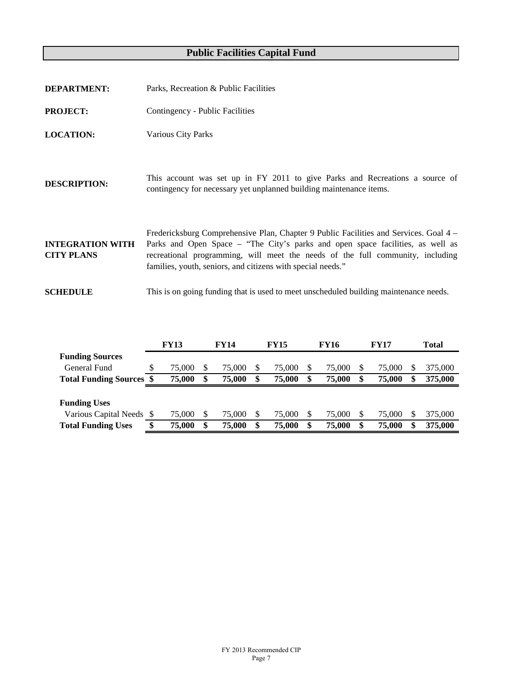| <b>DEPARTMENT:</b>                           | Parks, Recreation & Public Facilities                                                                                                                                                                                                                                                                                    |
|----------------------------------------------|--------------------------------------------------------------------------------------------------------------------------------------------------------------------------------------------------------------------------------------------------------------------------------------------------------------------------|
| <b>PROJECT:</b>                              | Contingency - Public Facilities                                                                                                                                                                                                                                                                                          |
| <b>LOCATION:</b>                             | <b>Various City Parks</b>                                                                                                                                                                                                                                                                                                |
| <b>DESCRIPTION:</b>                          | This account was set up in FY 2011 to give Parks and Recreations a source of<br>contingency for necessary yet unplanned building maintenance items.                                                                                                                                                                      |
| <b>INTEGRATION WITH</b><br><b>CITY PLANS</b> | Fredericksburg Comprehensive Plan, Chapter 9 Public Facilities and Services. Goal 4 –<br>Parks and Open Space – "The City's parks and open space facilities, as well as<br>recreational programming, will meet the needs of the full community, including<br>families, youth, seniors, and citizens with special needs." |
| <b>SCHEDULE</b>                              | This is on going funding that is used to meet unscheduled building maintenance needs.                                                                                                                                                                                                                                    |

|                                 |   | <b>FY13</b> | <b>FY14</b> |        | <b>FY15</b> |        | <b>FY16</b> |        | <b>FY17</b> |        | Total |         |
|---------------------------------|---|-------------|-------------|--------|-------------|--------|-------------|--------|-------------|--------|-------|---------|
| <b>Funding Sources</b>          |   |             |             |        |             |        |             |        |             |        |       |         |
| General Fund                    | S | 75,000      |             | 75,000 |             | 75,000 |             | 75,000 |             | 75,000 | S     | 375,000 |
| <b>Total Funding Sources \$</b> |   | 75,000      |             | 75,000 |             | 75,000 |             | 75,000 |             | 75,000 | \$    | 375,000 |
|                                 |   |             |             |        |             |        |             |        |             |        |       |         |
| <b>Funding Uses</b>             |   |             |             |        |             |        |             |        |             |        |       |         |
| Various Capital Needs \$        |   | 75,000      |             | 75,000 |             | 75,000 |             | 75,000 |             | 75,000 | S     | 375,000 |
| <b>Total Funding Uses</b>       |   | 75,000      | S           | 75,000 |             | 75,000 |             | 75,000 |             | 75,000 | S     | 375,000 |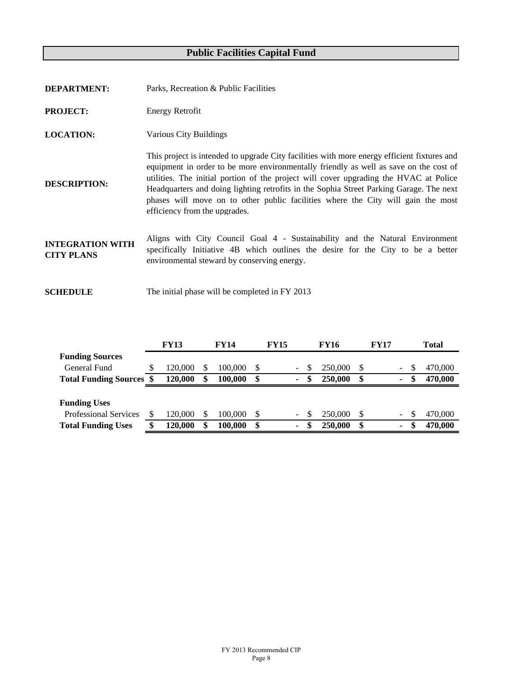| <b>DEPARTMENT:</b>                           | Parks, Recreation & Public Facilities                                                                                                                                                                                                                                                                                                                                                                                                                                                         |
|----------------------------------------------|-----------------------------------------------------------------------------------------------------------------------------------------------------------------------------------------------------------------------------------------------------------------------------------------------------------------------------------------------------------------------------------------------------------------------------------------------------------------------------------------------|
| <b>PROJECT:</b>                              | <b>Energy Retrofit</b>                                                                                                                                                                                                                                                                                                                                                                                                                                                                        |
| <b>LOCATION:</b>                             | Various City Buildings                                                                                                                                                                                                                                                                                                                                                                                                                                                                        |
| <b>DESCRIPTION:</b>                          | This project is intended to upgrade City facilities with more energy efficient fixtures and<br>equipment in order to be more environmentally friendly as well as save on the cost of<br>utilities. The initial portion of the project will cover upgrading the HVAC at Police<br>Headquarters and doing lighting retrofits in the Sophia Street Parking Garage. The next<br>phases will move on to other public facilities where the City will gain the most<br>efficiency from the upgrades. |
| <b>INTEGRATION WITH</b><br><b>CITY PLANS</b> | Aligns with City Council Goal 4 - Sustainability and the Natural Environment<br>specifically Initiative 4B which outlines the desire for the City to be a better<br>environmental steward by conserving energy.                                                                                                                                                                                                                                                                               |
| <b>SCHEDULE</b>                              | The initial phase will be completed in FY 2013                                                                                                                                                                                                                                                                                                                                                                                                                                                |

|                              |   | <b>FY13</b> |    | <b>FY14</b> |     | <b>FY15</b> |                          |    | <b>FY16</b> |    | <b>FY17</b> |                          | <b>Total</b>  |
|------------------------------|---|-------------|----|-------------|-----|-------------|--------------------------|----|-------------|----|-------------|--------------------------|---------------|
| <b>Funding Sources</b>       |   |             |    |             |     |             |                          |    |             |    |             |                          |               |
| General Fund                 | S | 120.000     | S  | 100.000     | \$. |             | $\overline{\phantom{0}}$ | S  | 250,000     | -S |             | $\overline{\phantom{0}}$ | \$<br>470,000 |
| <b>Total Funding Sources</b> |   | 120,000     | \$ | 100.000     | S   | $\sim$      |                          | S  | 250,000     | S  |             | ٠                        | \$<br>470,000 |
|                              |   |             |    |             |     |             |                          |    |             |    |             |                          |               |
| <b>Funding Uses</b>          |   |             |    |             |     |             |                          |    |             |    |             |                          |               |
|                              |   |             |    |             |     |             |                          |    |             |    |             |                          |               |
| <b>Professional Services</b> |   | 120.000     | S  | 100.000     | \$. |             | ۰.                       | S. | 250,000     |    |             | $\overline{\phantom{0}}$ | \$<br>470,000 |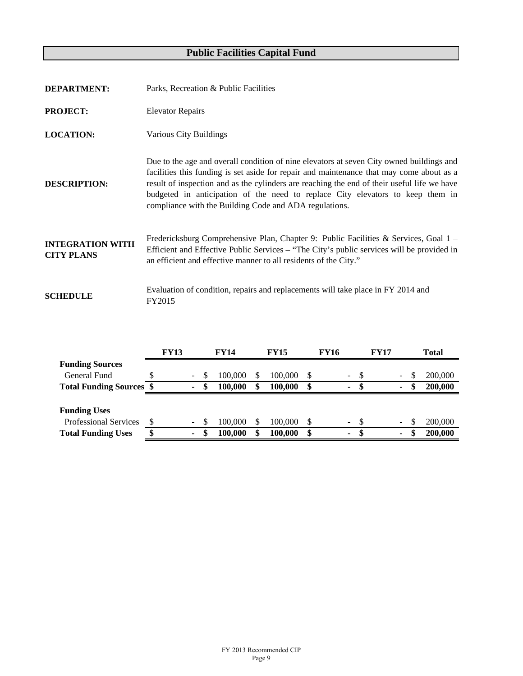| <b>DEPARTMENT:</b>                           | Parks, Recreation & Public Facilities                                                                                                                                                                                                                                                                                                                                                                                           |
|----------------------------------------------|---------------------------------------------------------------------------------------------------------------------------------------------------------------------------------------------------------------------------------------------------------------------------------------------------------------------------------------------------------------------------------------------------------------------------------|
| <b>PROJECT:</b>                              | <b>Elevator Repairs</b>                                                                                                                                                                                                                                                                                                                                                                                                         |
| <b>LOCATION:</b>                             | Various City Buildings                                                                                                                                                                                                                                                                                                                                                                                                          |
| <b>DESCRIPTION:</b>                          | Due to the age and overall condition of nine elevators at seven City owned buildings and<br>facilities this funding is set aside for repair and maintenance that may come about as a<br>result of inspection and as the cylinders are reaching the end of their useful life we have<br>budgeted in anticipation of the need to replace City elevators to keep them in<br>compliance with the Building Code and ADA regulations. |
| <b>INTEGRATION WITH</b><br><b>CITY PLANS</b> | Fredericksburg Comprehensive Plan, Chapter 9: Public Facilities & Services, Goal 1 –<br>Efficient and Effective Public Services – "The City's public services will be provided in<br>an efficient and effective manner to all residents of the City."                                                                                                                                                                           |
| <b>SCHEDULE</b>                              | Evaluation of condition, repairs and replacements will take place in FY 2014 and<br>FY2015                                                                                                                                                                                                                                                                                                                                      |

|                                 |   | <b>FY13</b> |                |   | <b>FY14</b> |    | <b>FY15</b> |    | FY16                      |      | <b>FY17</b> |                          | Total   |
|---------------------------------|---|-------------|----------------|---|-------------|----|-------------|----|---------------------------|------|-------------|--------------------------|---------|
| <b>Funding Sources</b>          |   |             |                |   |             |    |             |    |                           |      |             |                          |         |
| General Fund                    |   |             | $\blacksquare$ |   | 100,000     | S  | 100,000     | S  | $\sim$                    | - \$ |             | $\overline{\phantom{0}}$ | 200,000 |
| <b>Total Funding Sources \$</b> |   |             | $\blacksquare$ |   | 100.000     | \$ | 100,000     | \$ | $\blacksquare$            | -S   |             | ۰.                       | 200,000 |
|                                 |   |             |                |   |             |    |             |    |                           |      |             |                          |         |
| <b>Funding Uses</b>             |   |             |                |   |             |    |             |    |                           |      |             |                          |         |
| <b>Professional Services</b>    |   |             | $\sim$         |   | 100,000     | S  | 100,000     | -S | $\mathbb{Z}^{\mathbb{Z}}$ | -\$  |             |                          | 200,000 |
| <b>Total Funding Uses</b>       | ¢ |             | $\sim$         | S | 100.000     | \$ | 100,000     | S  |                           | S    |             | ۰.                       | 200,000 |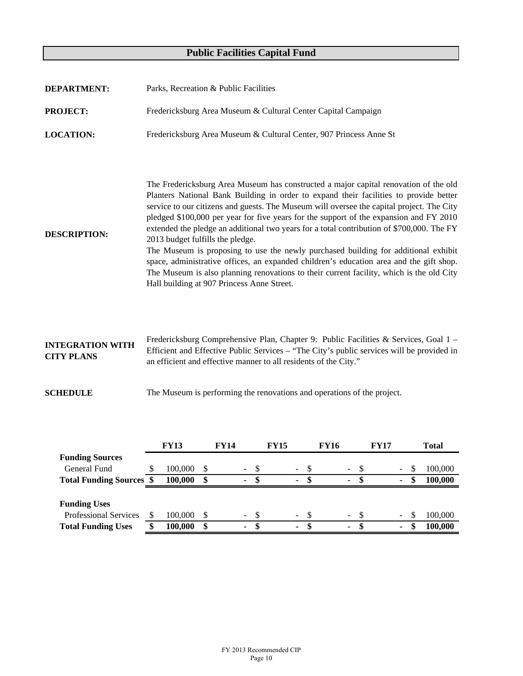| <b>DEPARTMENT:</b>                              |    |                    |          | Parks, Recreation & Public Facilities                                                                                                                                                                                                                                                                                                                                                                                                                                                                                                                                                                                                                                                                                                                                                                                            |                       |             |                       |             |                       |          |                    |
|-------------------------------------------------|----|--------------------|----------|----------------------------------------------------------------------------------------------------------------------------------------------------------------------------------------------------------------------------------------------------------------------------------------------------------------------------------------------------------------------------------------------------------------------------------------------------------------------------------------------------------------------------------------------------------------------------------------------------------------------------------------------------------------------------------------------------------------------------------------------------------------------------------------------------------------------------------|-----------------------|-------------|-----------------------|-------------|-----------------------|----------|--------------------|
| <b>PROJECT:</b>                                 |    |                    |          | Fredericksburg Area Museum & Cultural Center Capital Campaign                                                                                                                                                                                                                                                                                                                                                                                                                                                                                                                                                                                                                                                                                                                                                                    |                       |             |                       |             |                       |          |                    |
| <b>LOCATION:</b>                                |    |                    |          | Fredericksburg Area Museum & Cultural Center, 907 Princess Anne St                                                                                                                                                                                                                                                                                                                                                                                                                                                                                                                                                                                                                                                                                                                                                               |                       |             |                       |             |                       |          |                    |
| <b>DESCRIPTION:</b>                             |    |                    |          | The Fredericksburg Area Museum has constructed a major capital renovation of the old<br>Planters National Bank Building in order to expand their facilities to provide better<br>service to our citizens and guests. The Museum will oversee the capital project. The City<br>pledged \$100,000 per year for five years for the support of the expansion and FY 2010<br>extended the pledge an additional two years for a total contribution of \$700,000. The FY<br>2013 budget fulfills the pledge.<br>The Museum is proposing to use the newly purchased building for additional exhibit<br>space, administrative offices, an expanded children's education area and the gift shop.<br>The Museum is also planning renovations to their current facility, which is the old City<br>Hall building at 907 Princess Anne Street. |                       |             |                       |             |                       |          |                    |
| <b>INTEGRATION WITH</b><br><b>CITY PLANS</b>    |    |                    |          | Fredericksburg Comprehensive Plan, Chapter 9: Public Facilities & Services, Goal 1 -<br>Efficient and Effective Public Services – "The City's public services will be provided in<br>an efficient and effective manner to all residents of the City."                                                                                                                                                                                                                                                                                                                                                                                                                                                                                                                                                                            |                       |             |                       |             |                       |          |                    |
| <b>SCHEDULE</b>                                 |    |                    |          | The Museum is performing the renovations and operations of the project.                                                                                                                                                                                                                                                                                                                                                                                                                                                                                                                                                                                                                                                                                                                                                          |                       |             |                       |             |                       |          |                    |
|                                                 |    | <b>FY13</b>        |          | <b>FY14</b>                                                                                                                                                                                                                                                                                                                                                                                                                                                                                                                                                                                                                                                                                                                                                                                                                      |                       | <b>FY15</b> |                       | <b>FY16</b> | <b>FY17</b>           |          | <b>Total</b>       |
| <b>Funding Sources</b>                          |    |                    |          |                                                                                                                                                                                                                                                                                                                                                                                                                                                                                                                                                                                                                                                                                                                                                                                                                                  |                       |             |                       |             |                       |          |                    |
| General Fund<br><b>Total Funding Sources \$</b> | Φ  | 100,000<br>100,000 | \$<br>\$ |                                                                                                                                                                                                                                                                                                                                                                                                                                                                                                                                                                                                                                                                                                                                                                                                                                  | \$<br>$\overline{\$}$ |             | \$<br>$\overline{\$}$ |             | \$<br>$\overline{\$}$ | \$<br>\$ | 100,000<br>100,000 |
|                                                 |    |                    |          |                                                                                                                                                                                                                                                                                                                                                                                                                                                                                                                                                                                                                                                                                                                                                                                                                                  |                       |             |                       |             |                       |          |                    |
| <b>Funding Uses</b>                             |    |                    |          |                                                                                                                                                                                                                                                                                                                                                                                                                                                                                                                                                                                                                                                                                                                                                                                                                                  |                       |             |                       |             |                       |          |                    |
| Professional Services                           | \$ | 100,000            | \$       |                                                                                                                                                                                                                                                                                                                                                                                                                                                                                                                                                                                                                                                                                                                                                                                                                                  | \$                    |             | \$                    |             | \$                    | \$       | 100,000            |
| <b>Total Funding Uses</b>                       | \$ | 100,000            | \$       |                                                                                                                                                                                                                                                                                                                                                                                                                                                                                                                                                                                                                                                                                                                                                                                                                                  | \$                    |             | $\overline{\$}$       |             | $\overline{\$}$       | \$       | 100,000            |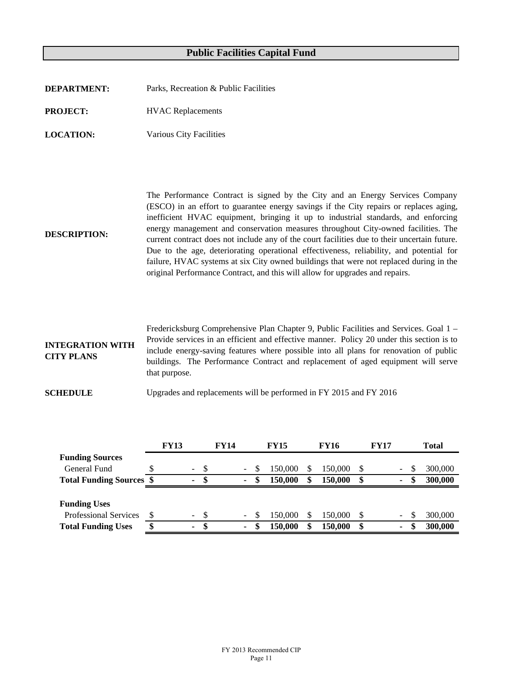| <b>DEPARTMENT:</b> | Parks, Recreation & Public Facilities |
|--------------------|---------------------------------------|
| <b>PROJECT:</b>    | <b>HVAC</b> Replacements              |

**LOCATION:** Various City Facilities

**DESCRIPTION:** The Performance Contract is signed by the City and an Energy Services Company (ESCO) in an effort to guarantee energy savings if the City repairs or replaces aging, inefficient HVAC equipment, bringing it up to industrial standards, and enforcing energy management and conservation measures throughout City-owned facilities. The current contract does not include any of the court facilities due to their uncertain future. Due to the age, deteriorating operational effectiveness, reliability, and potential for failure, HVAC systems at six City owned buildings that were not replaced during in the original Performance Contract, and this will allow for upgrades and repairs.

**INTEGRATION WITH CITY PLANS** Fredericksburg Comprehensive Plan Chapter 9, Public Facilities and Services. Goal 1 – Provide services in an efficient and effective manner. Policy 20 under this section is to include energy-saving features where possible into all plans for renovation of public buildings. The Performance Contract and replacement of aged equipment will serve that purpose.

**SCHEDULE** Upgrades and replacements will be performed in FY 2015 and FY 2016

|                                 | <b>FY13</b>              |    | <b>FY14</b> |                          |   | <b>FY15</b> | <b>FY16</b> |    | <b>FY17</b> |                          |     | <b>Total</b> |
|---------------------------------|--------------------------|----|-------------|--------------------------|---|-------------|-------------|----|-------------|--------------------------|-----|--------------|
| <b>Funding Sources</b>          |                          |    |             |                          |   |             |             |    |             |                          |     |              |
| General Fund                    | $\overline{\phantom{a}}$ | -S |             | $\sim$                   | S | 150.000     | 150,000     | S  |             | $\overline{\phantom{0}}$ | S.  | 300,000      |
| <b>Total Funding Sources \$</b> | ٠                        | -S |             | $\blacksquare$           | S | 150,000     | 150,000     | \$ |             |                          | æ   | 300,000      |
|                                 |                          |    |             |                          |   |             |             |    |             |                          |     |              |
| <b>Funding Uses</b>             |                          |    |             |                          |   |             |             |    |             |                          |     |              |
| <b>Professional Services</b>    | $\overline{\phantom{a}}$ | -8 |             | $\overline{\phantom{a}}$ | S | 150.000     | 150,000     | \$ |             | ۰.                       | \$. | 300,000      |
| <b>Total Funding Uses</b>       | ٠                        | -8 |             | ۰.                       |   | 150,000     | 150.000     | \$ |             | ۰.                       |     | 300,000      |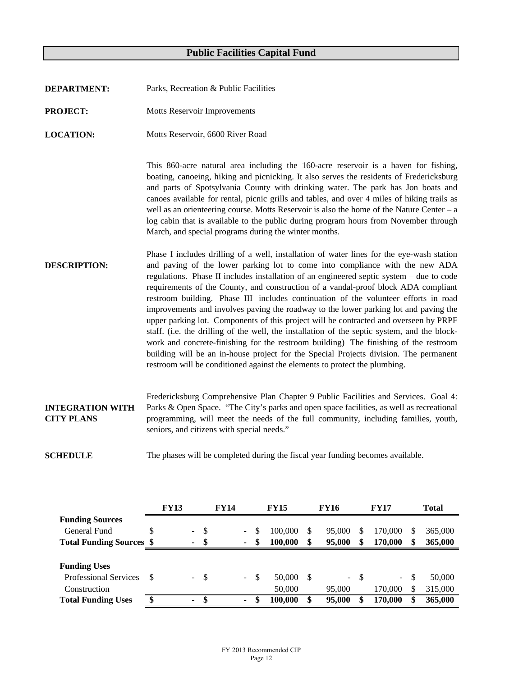- **DEPARTMENT:** Parks, Recreation & Public Facilities
- **PROJECT:** Motts Reservoir Improvements
- **LOCATION:** Motts Reservoir, 6600 River Road

**SCHEDULE**

This 860-acre natural area including the 160-acre reservoir is a haven for fishing, boating, canoeing, hiking and picnicking. It also serves the residents of Fredericksburg and parts of Spotsylvania County with drinking water. The park has Jon boats and canoes available for rental, picnic grills and tables, and over 4 miles of hiking trails as well as an orienteering course. Motts Reservoir is also the home of the Nature Center – a log cabin that is available to the public during program hours from November through March, and special programs during the winter months.

- **DESCRIPTION:** Phase I includes drilling of a well, installation of water lines for the eye-wash station and paving of the lower parking lot to come into compliance with the new ADA regulations. Phase II includes installation of an engineered septic system – due to code requirements of the County, and construction of a vandal-proof block ADA compliant restroom building. Phase III includes continuation of the volunteer efforts in road improvements and involves paving the roadway to the lower parking lot and paving the upper parking lot. Components of this project will be contracted and overseen by PRPF staff. (i.e. the drilling of the well, the installation of the septic system, and the blockwork and concrete-finishing for the restroom building) The finishing of the restroom building will be an in-house project for the Special Projects division. The permanent restroom will be conditioned against the elements to protect the plumbing.
- **INTEGRATION WITH CITY PLANS** Fredericksburg Comprehensive Plan Chapter 9 Public Facilities and Services. Goal 4: Parks & Open Space. "The City's parks and open space facilities, as well as recreational programming, will meet the needs of the full community, including families, youth, seniors, and citizens with special needs."

The phases will be completed during the fiscal year funding becomes available.

|                                 |    | <b>FY13</b> | <b>FY14</b>    |  |                | <b>FY15</b> |         |  | <b>FY16</b> |       | <b>FY17</b> | <b>Total</b>  |         |  |
|---------------------------------|----|-------------|----------------|--|----------------|-------------|---------|--|-------------|-------|-------------|---------------|---------|--|
| <b>Funding Sources</b>          |    |             |                |  |                |             |         |  |             |       |             |               |         |  |
| General Fund                    |    |             | - \$<br>$\sim$ |  | $\sim$         | <b>S</b>    | 100,000 |  | 95,000      |       | 170.000     | S             | 365,000 |  |
| <b>Total Funding Sources \$</b> |    |             | S<br>۰         |  | $\blacksquare$ | \$          | 100,000 |  | 95,000      |       | 170,000     | \$            | 365,000 |  |
|                                 |    |             |                |  |                |             |         |  |             |       |             |               |         |  |
| <b>Funding Uses</b>             |    |             |                |  |                |             |         |  |             |       |             |               |         |  |
| <b>Professional Services</b>    | S  |             | - \$<br>$\sim$ |  | $\sim$         | - \$        | 50,000  |  |             | $- S$ | $\sim$      | <sup>\$</sup> | 50,000  |  |
| Construction                    |    |             |                |  |                |             | 50,000  |  | 95,000      |       | 170.000     | S             | 315,000 |  |
| <b>Total Funding Uses</b>       | \$ |             | ٠              |  | $\blacksquare$ | \$          | 100,000 |  | 95,000      |       | 170,000     | \$            | 365,000 |  |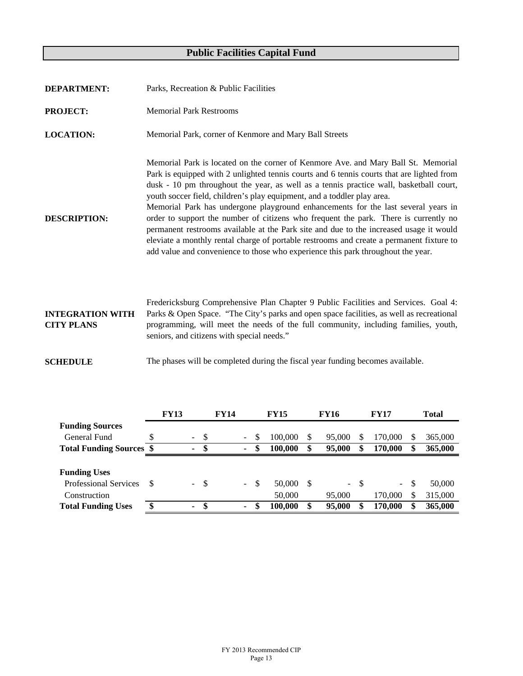| <b>DEPARTMENT:</b>                           | Parks, Recreation & Public Facilities                                                                                                                                                                                                                                                                                                                                                                                                                                                                                                                                                                                                                                                                                                                                                                      |  |  |  |  |  |  |  |  |
|----------------------------------------------|------------------------------------------------------------------------------------------------------------------------------------------------------------------------------------------------------------------------------------------------------------------------------------------------------------------------------------------------------------------------------------------------------------------------------------------------------------------------------------------------------------------------------------------------------------------------------------------------------------------------------------------------------------------------------------------------------------------------------------------------------------------------------------------------------------|--|--|--|--|--|--|--|--|
| <b>PROJECT:</b>                              | <b>Memorial Park Restrooms</b>                                                                                                                                                                                                                                                                                                                                                                                                                                                                                                                                                                                                                                                                                                                                                                             |  |  |  |  |  |  |  |  |
| <b>LOCATION:</b>                             | Memorial Park, corner of Kenmore and Mary Ball Streets                                                                                                                                                                                                                                                                                                                                                                                                                                                                                                                                                                                                                                                                                                                                                     |  |  |  |  |  |  |  |  |
| <b>DESCRIPTION:</b>                          | Memorial Park is located on the corner of Kenmore Ave. and Mary Ball St. Memorial<br>Park is equipped with 2 unlighted tennis courts and 6 tennis courts that are lighted from<br>dusk - 10 pm throughout the year, as well as a tennis practice wall, basketball court,<br>youth soccer field, children's play equipment, and a toddler play area.<br>Memorial Park has undergone playground enhancements for the last several years in<br>order to support the number of citizens who frequent the park. There is currently no<br>permanent restrooms available at the Park site and due to the increased usage it would<br>eleviate a monthly rental charge of portable restrooms and create a permanent fixture to<br>add value and convenience to those who experience this park throughout the year. |  |  |  |  |  |  |  |  |
| <b>INTEGRATION WITH</b><br><b>CITY PLANS</b> | Fredericksburg Comprehensive Plan Chapter 9 Public Facilities and Services. Goal 4:<br>Parks & Open Space. "The City's parks and open space facilities, as well as recreational<br>programming, will meet the needs of the full community, including families, youth,<br>seniors, and citizens with special needs."                                                                                                                                                                                                                                                                                                                                                                                                                                                                                        |  |  |  |  |  |  |  |  |

**SCHEDULE** The phases will be completed during the fiscal year funding becomes available.

|                                 | <b>FY13</b>    | <b>FY14</b> |  | <b>FY15</b>    |              |         | <b>FY16</b> |   | <b>FY17</b> | <b>Total</b>  |         |  |
|---------------------------------|----------------|-------------|--|----------------|--------------|---------|-------------|---|-------------|---------------|---------|--|
| <b>Funding Sources</b>          |                |             |  |                |              |         |             |   |             |               |         |  |
| General Fund                    | $\blacksquare$ | - \$        |  | $\sim$         | S            | 100,000 | 95,000      |   | 170,000     | S             | 365,000 |  |
| <b>Total Funding Sources \$</b> | ۰              | -S          |  | ٠              |              | 100,000 | 95,000      | S | 170,000     | \$            | 365,000 |  |
|                                 |                |             |  |                |              |         |             |   |             |               |         |  |
| <b>Funding Uses</b>             |                |             |  |                |              |         |             |   |             |               |         |  |
| <b>Professional Services</b>    | $\sim$         | - \$        |  | $\sim$ .       | $\mathbb{S}$ | 50,000  | $- S$       |   | $\sim$      | <sup>\$</sup> | 50,000  |  |
| Construction                    |                |             |  |                |              | 50,000  | 95,000      |   | 170,000     | S             | 315,000 |  |
| <b>Total Funding Uses</b>       | ٠              | S           |  | $\blacksquare$ |              | 100,000 | 95,000      |   | 170,000     | \$            | 365,000 |  |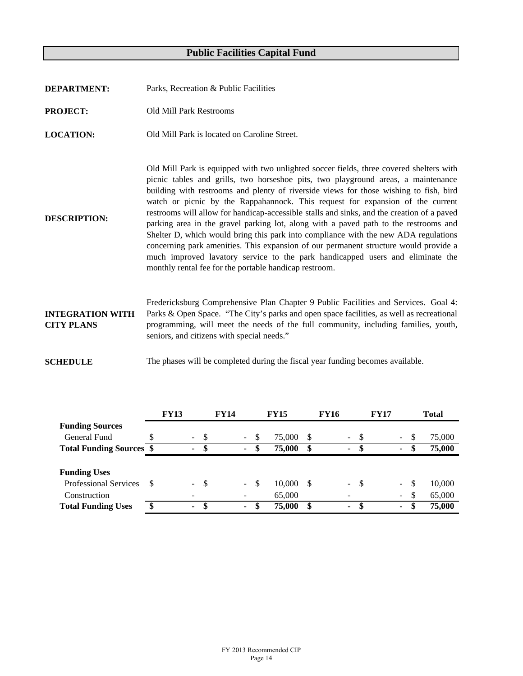| <b>DEPARTMENT:</b>                           | Parks, Recreation & Public Facilities                                                                                                                                                                                                                                                                                                                                                                                                                                                                                                                                                                                                                                                                                                                                                                                                                                    |
|----------------------------------------------|--------------------------------------------------------------------------------------------------------------------------------------------------------------------------------------------------------------------------------------------------------------------------------------------------------------------------------------------------------------------------------------------------------------------------------------------------------------------------------------------------------------------------------------------------------------------------------------------------------------------------------------------------------------------------------------------------------------------------------------------------------------------------------------------------------------------------------------------------------------------------|
| <b>PROJECT:</b>                              | <b>Old Mill Park Restrooms</b>                                                                                                                                                                                                                                                                                                                                                                                                                                                                                                                                                                                                                                                                                                                                                                                                                                           |
| <b>LOCATION:</b>                             | Old Mill Park is located on Caroline Street.                                                                                                                                                                                                                                                                                                                                                                                                                                                                                                                                                                                                                                                                                                                                                                                                                             |
| <b>DESCRIPTION:</b>                          | Old Mill Park is equipped with two unlighted soccer fields, three covered shelters with<br>picnic tables and grills, two horseshoe pits, two playground areas, a maintenance<br>building with restrooms and plenty of riverside views for those wishing to fish, bird<br>watch or picnic by the Rappahannock. This request for expansion of the current<br>restrooms will allow for handicap-accessible stalls and sinks, and the creation of a paved<br>parking area in the gravel parking lot, along with a paved path to the restrooms and<br>Shelter D, which would bring this park into compliance with the new ADA regulations<br>concerning park amenities. This expansion of our permanent structure would provide a<br>much improved lavatory service to the park handicapped users and eliminate the<br>monthly rental fee for the portable handicap restroom. |
| <b>INTEGRATION WITH</b><br><b>CITY PLANS</b> | Fredericksburg Comprehensive Plan Chapter 9 Public Facilities and Services. Goal 4:<br>Parks & Open Space. "The City's parks and open space facilities, as well as recreational<br>programming, will meet the needs of the full community, including families, youth,<br>seniors, and citizens with special needs."                                                                                                                                                                                                                                                                                                                                                                                                                                                                                                                                                      |
| <b>SCHEDULE</b>                              | The phases will be completed during the fiscal year funding becomes available.                                                                                                                                                                                                                                                                                                                                                                                                                                                                                                                                                                                                                                                                                                                                                                                           |

|                                 |     | <b>FY13</b> |               | <b>FY14</b> |        |      | <b>FY15</b> |      | <b>FY16</b>    |               | <b>FY17</b> |          |               | Total  |
|---------------------------------|-----|-------------|---------------|-------------|--------|------|-------------|------|----------------|---------------|-------------|----------|---------------|--------|
| <b>Funding Sources</b>          |     |             |               |             |        |      |             |      |                |               |             |          |               |        |
| General Fund                    |     |             | -8<br>$\sim$  |             | $\sim$ | - \$ | 75,000      | S    | $\sim$         | <sup>\$</sup> |             | $\sim$   | -S            | 75,000 |
| <b>Total Funding Sources \$</b> |     |             | ٠             |             | $\sim$ | -S   | 75,000      | \$   | $\blacksquare$ | S             |             | ۰        | S             | 75,000 |
|                                 |     |             |               |             |        |      |             |      |                |               |             |          |               |        |
| <b>Funding Uses</b>             |     |             |               |             |        |      |             |      |                |               |             |          |               |        |
| <b>Professional Services</b>    |     |             | -\$<br>$\sim$ |             | $\sim$ | - \$ | 10,000      | - \$ | $\sim$         | -\$           |             | $\equiv$ | <sup>\$</sup> | 10,000 |
| Construction                    |     |             | -             |             |        |      | 65,000      |      | -              |               |             | $\sim$   | \$            | 65,000 |
| <b>Total Funding Uses</b>       | \$. |             | \$.<br>٠      |             | $\sim$ | \$.  | 75,000      |      | $\blacksquare$ | S             |             | ٠        | \$            | 75,000 |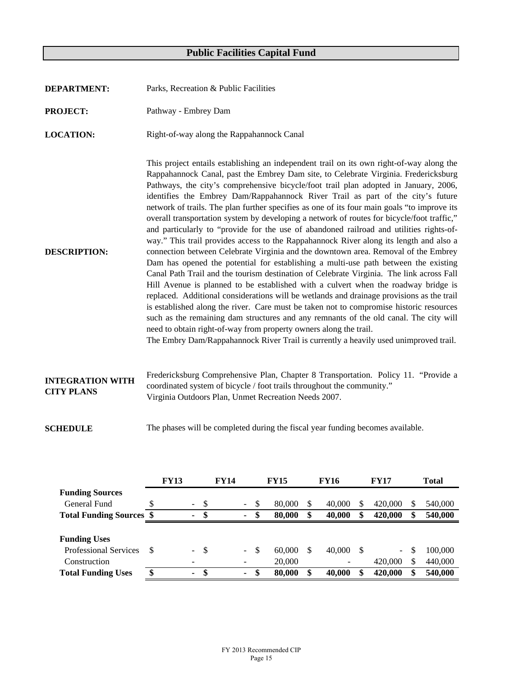| <b>DEPARTMENT:</b>                           | Parks, Recreation & Public Facilities                                                                                                                                                                                                                                                                                                                                                                                                                                                                                                                                                                                                                                                                                                                                                                                                                                                                                                                                                                                                                                                                                                                                                                                                                                                                                                                                                                                                                                                                                                                     |
|----------------------------------------------|-----------------------------------------------------------------------------------------------------------------------------------------------------------------------------------------------------------------------------------------------------------------------------------------------------------------------------------------------------------------------------------------------------------------------------------------------------------------------------------------------------------------------------------------------------------------------------------------------------------------------------------------------------------------------------------------------------------------------------------------------------------------------------------------------------------------------------------------------------------------------------------------------------------------------------------------------------------------------------------------------------------------------------------------------------------------------------------------------------------------------------------------------------------------------------------------------------------------------------------------------------------------------------------------------------------------------------------------------------------------------------------------------------------------------------------------------------------------------------------------------------------------------------------------------------------|
| <b>PROJECT:</b>                              | Pathway - Embrey Dam                                                                                                                                                                                                                                                                                                                                                                                                                                                                                                                                                                                                                                                                                                                                                                                                                                                                                                                                                                                                                                                                                                                                                                                                                                                                                                                                                                                                                                                                                                                                      |
| <b>LOCATION:</b>                             | Right-of-way along the Rappahannock Canal                                                                                                                                                                                                                                                                                                                                                                                                                                                                                                                                                                                                                                                                                                                                                                                                                                                                                                                                                                                                                                                                                                                                                                                                                                                                                                                                                                                                                                                                                                                 |
| <b>DESCRIPTION:</b>                          | This project entails establishing an independent trail on its own right-of-way along the<br>Rappahannock Canal, past the Embrey Dam site, to Celebrate Virginia. Fredericksburg<br>Pathways, the city's comprehensive bicycle/foot trail plan adopted in January, 2006,<br>identifies the Embrey Dam/Rappahannock River Trail as part of the city's future<br>network of trails. The plan further specifies as one of its four main goals "to improve its<br>overall transportation system by developing a network of routes for bicycle/foot traffic,"<br>and particularly to "provide for the use of abandoned railroad and utilities rights-of-<br>way." This trail provides access to the Rappahannock River along its length and also a<br>connection between Celebrate Virginia and the downtown area. Removal of the Embrey<br>Dam has opened the potential for establishing a multi-use path between the existing<br>Canal Path Trail and the tourism destination of Celebrate Virginia. The link across Fall<br>Hill Avenue is planned to be established with a culvert when the roadway bridge is<br>replaced. Additional considerations will be wetlands and drainage provisions as the trail<br>is established along the river. Care must be taken not to compromise historic resources<br>such as the remaining dam structures and any remnants of the old canal. The city will<br>need to obtain right-of-way from property owners along the trail.<br>The Embry Dam/Rappahannock River Trail is currently a heavily used unimproved trail. |
| <b>INTEGRATION WITH</b><br><b>CITY PLANS</b> | Fredericksburg Comprehensive Plan, Chapter 8 Transportation. Policy 11. "Provide a<br>coordinated system of bicycle / foot trails throughout the community."<br>Virginia Outdoors Plan, Unmet Recreation Needs 2007.                                                                                                                                                                                                                                                                                                                                                                                                                                                                                                                                                                                                                                                                                                                                                                                                                                                                                                                                                                                                                                                                                                                                                                                                                                                                                                                                      |
| <b>SCHEDULE</b>                              | The phases will be completed during the fiscal year funding becomes available.                                                                                                                                                                                                                                                                                                                                                                                                                                                                                                                                                                                                                                                                                                                                                                                                                                                                                                                                                                                                                                                                                                                                                                                                                                                                                                                                                                                                                                                                            |

|                                 |   | <b>FY13</b>    |               | <b>FY14</b> |          |               | <b>FY15</b> |   | <b>FY16</b> |          | <b>FY17</b> |     | <b>Total</b> |
|---------------------------------|---|----------------|---------------|-------------|----------|---------------|-------------|---|-------------|----------|-------------|-----|--------------|
| <b>Funding Sources</b>          |   |                |               |             |          |               |             |   |             |          |             |     |              |
| General Fund                    |   | $\sim$         | <sup>\$</sup> |             | $\sim$   | S             | 80,000      |   | 40,000      | S        | 420,000     | S   | 540,000      |
| <b>Total Funding Sources \$</b> |   | $\blacksquare$ | \$            |             | $\sim$   | \$            | 80,000      |   | 40,000      | \$       | 420,000     | \$  | 540,000      |
|                                 |   |                |               |             |          |               |             |   |             |          |             |     |              |
| <b>Funding Uses</b>             |   |                |               |             |          |               |             |   |             |          |             |     |              |
| <b>Professional Services</b>    |   | $\sim$ $^{-1}$ | -\$           |             | $\equiv$ | <sup>\$</sup> | 60,000      |   | 40,000      | <b>S</b> | $\sim$      | \$. | 100,000      |
| Construction                    |   |                |               |             |          |               | 20,000      |   |             |          | 420,000     | \$  | 440,000      |
| <b>Total Funding Uses</b>       | œ | ۰.             | -\$           |             | $\sim$   | -SS           | 80,000      | S | 40,000      | \$       | 420,000     | \$  | 540,000      |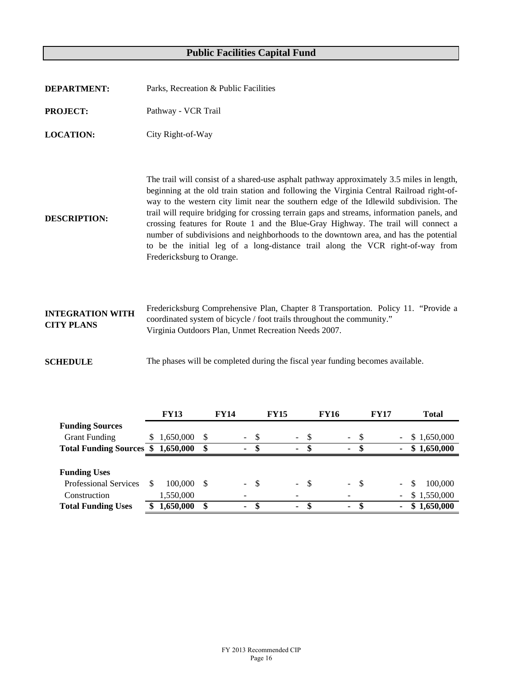| <b>DEPARTMENT:</b>                           | Parks, Recreation & Public Facilities                                                                                                                                                                                                                                                                                                                                                                                                                                                                                                                                                                                                                                    |
|----------------------------------------------|--------------------------------------------------------------------------------------------------------------------------------------------------------------------------------------------------------------------------------------------------------------------------------------------------------------------------------------------------------------------------------------------------------------------------------------------------------------------------------------------------------------------------------------------------------------------------------------------------------------------------------------------------------------------------|
| <b>PROJECT:</b>                              | Pathway - VCR Trail                                                                                                                                                                                                                                                                                                                                                                                                                                                                                                                                                                                                                                                      |
| <b>LOCATION:</b>                             | City Right-of-Way                                                                                                                                                                                                                                                                                                                                                                                                                                                                                                                                                                                                                                                        |
| <b>DESCRIPTION:</b>                          | The trail will consist of a shared-use asphalt pathway approximately 3.5 miles in length,<br>beginning at the old train station and following the Virginia Central Railroad right-of-<br>way to the western city limit near the southern edge of the Idlewild subdivision. The<br>trail will require bridging for crossing terrain gaps and streams, information panels, and<br>crossing features for Route 1 and the Blue-Gray Highway. The trail will connect a<br>number of subdivisions and neighborhoods to the downtown area, and has the potential<br>to be the initial leg of a long-distance trail along the VCR right-of-way from<br>Fredericksburg to Orange. |
| <b>INTEGRATION WITH</b><br><b>CITY PLANS</b> | Fredericksburg Comprehensive Plan, Chapter 8 Transportation. Policy 11. "Provide a<br>coordinated system of bicycle / foot trails throughout the community."<br>Virginia Outdoors Plan, Unmet Recreation Needs 2007.                                                                                                                                                                                                                                                                                                                                                                                                                                                     |
| <b>SCHEDULE</b>                              | The phases will be completed during the fiscal year funding becomes available.                                                                                                                                                                                                                                                                                                                                                                                                                                                                                                                                                                                           |

|                                 | <b>FY13</b> |                   | <b>FY14</b> |              |      | <b>FY15</b>    |        | <b>FY16</b> |        |      | <b>FY17</b> |    | Total       |
|---------------------------------|-------------|-------------------|-------------|--------------|------|----------------|--------|-------------|--------|------|-------------|----|-------------|
| <b>Funding Sources</b>          |             |                   |             |              |      |                |        |             |        |      |             |    |             |
| <b>Grant Funding</b>            | 1,650,000   | <b>S</b>          |             | $\sim$ $-$   | -S   | $\sim$         | -S     |             | $\sim$ | - \$ |             |    | \$1,650,000 |
| <b>Total Funding Sources \$</b> | 1,650,000   | $\boldsymbol{\$}$ |             | ٠            | -\$  | $\blacksquare$ | S      |             | $\sim$ | -8   |             |    | \$1,650,000 |
|                                 |             |                   |             |              |      |                |        |             |        |      |             |    |             |
| <b>Funding Uses</b>             |             |                   |             |              |      |                |        |             |        |      |             |    |             |
| <b>Professional Services</b>    | 100,000     | -S                |             | $\mathbf{r}$ | - \$ |                | $-$ \$ |             | $\sim$ | - \$ |             | \$ | 100,000     |
| Construction                    | 1,550,000   |                   |             |              |      |                |        |             |        |      |             |    | \$1,550,000 |
| <b>Total Funding Uses</b>       | 1,650,000   | \$                |             | ۰            | \$   | $\blacksquare$ |        |             | $\sim$ |      |             |    | \$1,650,000 |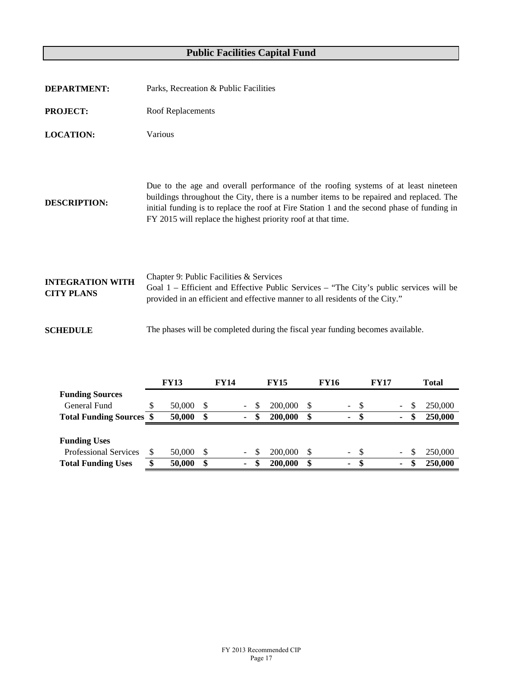| <b>DEPARTMENT:</b>                           | Parks, Recreation & Public Facilities                                                                                                                                                                                                                                                                                                        |
|----------------------------------------------|----------------------------------------------------------------------------------------------------------------------------------------------------------------------------------------------------------------------------------------------------------------------------------------------------------------------------------------------|
| <b>PROJECT:</b>                              | Roof Replacements                                                                                                                                                                                                                                                                                                                            |
| <b>LOCATION:</b>                             | Various                                                                                                                                                                                                                                                                                                                                      |
| <b>DESCRIPTION:</b>                          | Due to the age and overall performance of the roofing systems of at least nineteen<br>buildings throughout the City, there is a number items to be repaired and replaced. The<br>initial funding is to replace the roof at Fire Station 1 and the second phase of funding in<br>FY 2015 will replace the highest priority roof at that time. |
| <b>INTEGRATION WITH</b><br><b>CITY PLANS</b> | Chapter 9: Public Facilities & Services<br>Goal 1 – Efficient and Effective Public Services – "The City's public services will be<br>provided in an efficient and effective manner to all residents of the City."                                                                                                                            |
| <b>SCHEDULE</b>                              | The phases will be completed during the fiscal year funding becomes available.                                                                                                                                                                                                                                                               |

|                                 | FY13   |                   | <b>FY14</b> |                |    | <b>FY15</b> |    | FY16 |        |      | FY17 |   | <b>Total</b>  |
|---------------------------------|--------|-------------------|-------------|----------------|----|-------------|----|------|--------|------|------|---|---------------|
| <b>Funding Sources</b>          |        |                   |             |                |    |             |    |      |        |      |      |   |               |
| General Fund                    | 50,000 | S                 |             |                | S  | 200,000     | S. |      | $\sim$ | - \$ |      |   | \$<br>250,000 |
| <b>Total Funding Sources \$</b> | 50,000 | $\boldsymbol{\$}$ |             | $\blacksquare$ | \$ | 200,000     | \$ |      | ۰.     | \$   |      | ٠ | \$<br>250,000 |
|                                 |        |                   |             |                |    |             |    |      |        |      |      |   |               |
| <b>Funding Uses</b>             |        |                   |             |                |    |             |    |      |        |      |      |   |               |
| <b>Professional Services</b>    | 50,000 | S                 |             | Ξ.             | S  | 200,000     | -S |      | $\sim$ | - \$ |      |   | \$<br>250,000 |
| <b>Total Funding Uses</b>       | 50,000 | \$                |             | ٠              | \$ | 200,000     | \$ |      | ۰.     | S    |      | ٠ | \$<br>250,000 |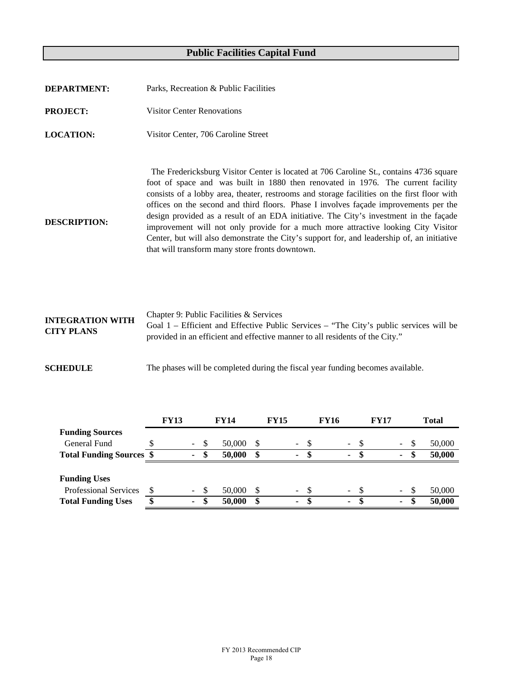| <b>DEPARTMENT:</b>  | Parks, Recreation & Public Facilities                                                                                                                                                                                                                                                                                                                                                                                                                                                                                                                                                                                                                                                            |
|---------------------|--------------------------------------------------------------------------------------------------------------------------------------------------------------------------------------------------------------------------------------------------------------------------------------------------------------------------------------------------------------------------------------------------------------------------------------------------------------------------------------------------------------------------------------------------------------------------------------------------------------------------------------------------------------------------------------------------|
| <b>PROJECT:</b>     | <b>Visitor Center Renovations</b>                                                                                                                                                                                                                                                                                                                                                                                                                                                                                                                                                                                                                                                                |
| <b>LOCATION:</b>    | Visitor Center, 706 Caroline Street                                                                                                                                                                                                                                                                                                                                                                                                                                                                                                                                                                                                                                                              |
| <b>DESCRIPTION:</b> | The Fredericksburg Visitor Center is located at 706 Caroline St., contains 4736 square<br>foot of space and was built in 1880 then renovated in 1976. The current facility<br>consists of a lobby area, theater, restrooms and storage facilities on the first floor with<br>offices on the second and third floors. Phase I involves façade improvements per the<br>design provided as a result of an EDA initiative. The City's investment in the façade<br>improvement will not only provide for a much more attractive looking City Visitor<br>Center, but will also demonstrate the City's support for, and leadership of, an initiative<br>that will transform many store fronts downtown. |

| <b>INTEGRATION WITH</b><br><b>CITY PLANS</b> | Chapter 9: Public Facilities & Services<br>Goal 1 – Efficient and Effective Public Services – "The City's public services will be<br>provided in an efficient and effective manner to all residents of the City." |
|----------------------------------------------|-------------------------------------------------------------------------------------------------------------------------------------------------------------------------------------------------------------------|
|                                              |                                                                                                                                                                                                                   |

**SCHEDULE** The phases will be completed during the fiscal year funding becomes available.

|                                 | <b>FY13</b> |                |      | <b>FY14</b> | <b>FY15</b> |                |      | <b>FY16</b> |                |      | <b>FY17</b> |        |          | <b>Total</b> |
|---------------------------------|-------------|----------------|------|-------------|-------------|----------------|------|-------------|----------------|------|-------------|--------|----------|--------------|
| <b>Funding Sources</b>          |             |                |      |             |             |                |      |             |                |      |             |        |          |              |
| General Fund                    |             | $\sim$         | - \$ | 50,000      |             | $\blacksquare$ | - \$ |             | $\omega$ .     | - \$ |             | $\sim$ | <b>S</b> | 50,000       |
| <b>Total Funding Sources \$</b> |             | $\blacksquare$ | -SS  | 50,000      | \$          | $\blacksquare$ | -S   |             | $\blacksquare$ |      |             | $\sim$ | æ        | 50,000       |
|                                 |             |                |      |             |             |                |      |             |                |      |             |        |          |              |
| <b>Funding Uses</b>             |             |                |      |             |             |                |      |             |                |      |             |        |          |              |
| <b>Professional Services</b>    |             | $\sim$ $ \sim$ | - \$ | 50,000      |             | $\sim$         | -\$  |             | $\sim$ $-$     | -8   |             | $\sim$ | S        | 50,000       |
| <b>Total Funding Uses</b>       |             | $\sim$         | -SS  | 50,000      |             | ۰              | -SS  |             | $\sim$         | - \$ |             | ۰.     |          | 50,000       |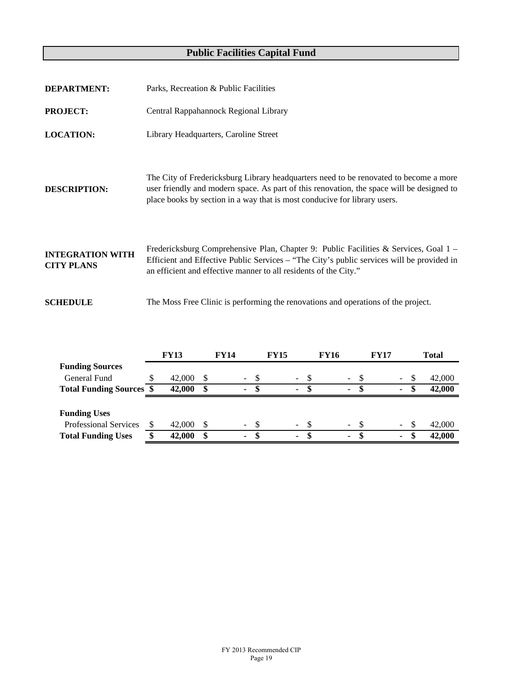| <b>DEPARTMENT:</b>                           | Parks, Recreation & Public Facilities                                                                                                                                                                                                                           |
|----------------------------------------------|-----------------------------------------------------------------------------------------------------------------------------------------------------------------------------------------------------------------------------------------------------------------|
| <b>PROJECT:</b>                              | Central Rappahannock Regional Library                                                                                                                                                                                                                           |
| <b>LOCATION:</b>                             | Library Headquarters, Caroline Street                                                                                                                                                                                                                           |
| <b>DESCRIPTION:</b>                          | The City of Fredericksburg Library headquarters need to be renovated to become a more<br>user friendly and modern space. As part of this renovation, the space will be designed to<br>place books by section in a way that is most conducive for library users. |
| <b>INTEGRATION WITH</b><br><b>CITY PLANS</b> | Fredericksburg Comprehensive Plan, Chapter 9: Public Facilities & Services, Goal 1 –<br>Efficient and Effective Public Services – "The City's public services will be provided in<br>an efficient and effective manner to all residents of the City."           |
| <b>SCHEDULE</b>                              | The Moss Free Clinic is performing the renovations and operations of the project.                                                                                                                                                                               |
|                                              |                                                                                                                                                                                                                                                                 |

|                                 | <b>FY13</b> |              | <b>FY14</b> |                |    | <b>FY15</b> |        |     | <b>FY16</b> |        |    | <b>FY17</b> |                          |     | <b>Total</b> |
|---------------------------------|-------------|--------------|-------------|----------------|----|-------------|--------|-----|-------------|--------|----|-------------|--------------------------|-----|--------------|
| <b>Funding Sources</b>          |             |              |             |                |    |             |        |     |             |        |    |             |                          |     |              |
| General Fund                    | 42,000      | <sup>8</sup> |             | $\sim$ .       |    |             | $\sim$ |     |             | $\sim$ |    |             | $\sim 100$               | -S  | 42,000       |
| <b>Total Funding Sources \$</b> | 42,000      | \$           |             | $\blacksquare$ | S  |             | ٠      |     |             | $\sim$ | -S |             | ٠                        | \$. | 42,000       |
|                                 |             |              |             |                |    |             |        |     |             |        |    |             |                          |     |              |
| <b>Funding Uses</b>             |             |              |             |                |    |             |        |     |             |        |    |             |                          |     |              |
| <b>Professional Services</b>    | 42,000      |              |             | $\omega$ .     | S. |             | ÷.     | -\$ |             | $\sim$ | -8 |             | $\overline{\phantom{a}}$ | -S  | 42,000       |
| <b>Total Funding Uses</b>       | 42,000      | S            |             | ٠              | S  |             | ۰      |     |             |        |    |             | ٠                        | S   | 42,000       |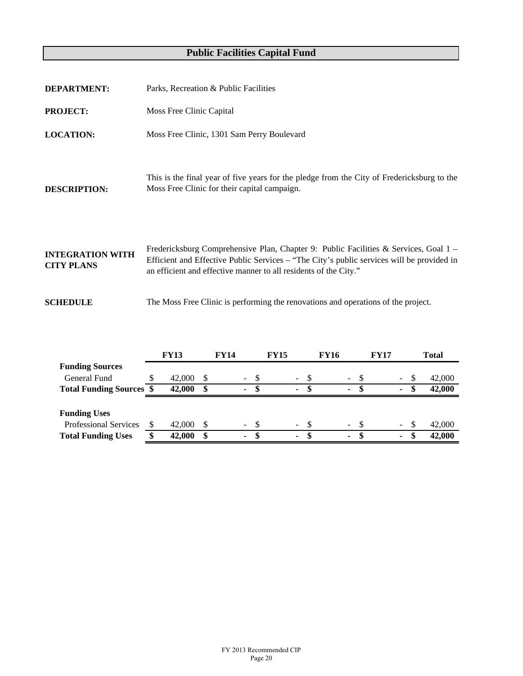| <b>PROJECT:</b>                              | Moss Free Clinic Capital |                                                                                   |                 |             |             |                                                                                                                                                                                     |
|----------------------------------------------|--------------------------|-----------------------------------------------------------------------------------|-----------------|-------------|-------------|-------------------------------------------------------------------------------------------------------------------------------------------------------------------------------------|
| <b>LOCATION:</b>                             |                          | Moss Free Clinic, 1301 Sam Perry Boulevard                                        |                 |             |             |                                                                                                                                                                                     |
| <b>DESCRIPTION:</b>                          |                          | Moss Free Clinic for their capital campaign.                                      |                 |             |             | This is the final year of five years for the pledge from the City of Fredericksburg to the                                                                                          |
| <b>INTEGRATION WITH</b><br><b>CITY PLANS</b> |                          | an efficient and effective manner to all residents of the City."                  |                 |             |             | Fredericksburg Comprehensive Plan, Chapter 9: Public Facilities & Services, Goal $1 -$<br>Efficient and Effective Public Services - "The City's public services will be provided in |
| <b>SCHEDULE</b>                              |                          | The Moss Free Clinic is performing the renovations and operations of the project. |                 |             |             |                                                                                                                                                                                     |
| <b>Funding Sources</b>                       | <b>FY13</b>              | <b>FY14</b>                                                                       | <b>FY15</b>     | <b>FY16</b> | <b>FY17</b> | <b>Total</b>                                                                                                                                                                        |
| <b>General Fund</b>                          | \$<br>42,000             | \$                                                                                | \$              | \$          | \$          | \$<br>42,000                                                                                                                                                                        |
| <b>Total Funding Sources</b>                 | \$<br>42,000             | \$                                                                                | $\overline{\$}$ | \$          | \$          | \$<br>42,000                                                                                                                                                                        |
|                                              |                          |                                                                                   |                 |             |             |                                                                                                                                                                                     |

| <b>Funding Uses</b>          |        |        |        |                 |  |        |
|------------------------------|--------|--------|--------|-----------------|--|--------|
| <b>Professional Services</b> | 42,000 | $\sim$ | $\sim$ | $\sim$ 10 $\pm$ |  | 42,000 |
| <b>Total Funding Uses</b>    | 42,000 |        |        |                 |  | 42,000 |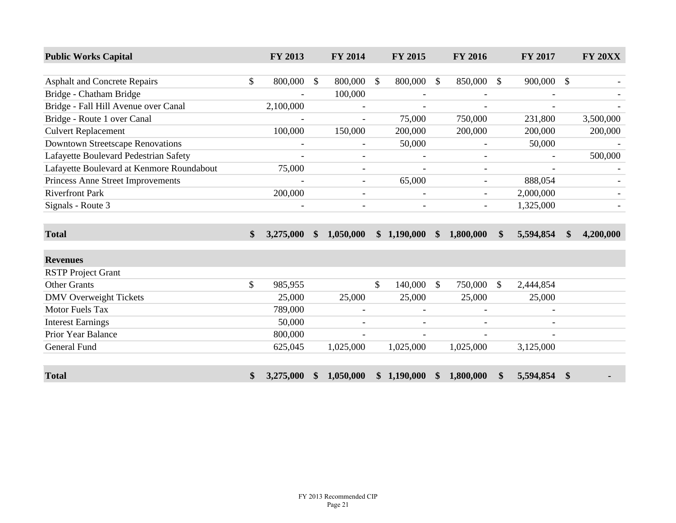| <b>Public Works Capital</b>               |               | FY 2013                  |               | FY 2014                  |               | FY 2015     |               | <b>FY 2016</b>           |               | FY 2017        |               | <b>FY 20XX</b> |
|-------------------------------------------|---------------|--------------------------|---------------|--------------------------|---------------|-------------|---------------|--------------------------|---------------|----------------|---------------|----------------|
|                                           |               |                          |               |                          |               |             |               |                          |               |                |               |                |
| <b>Asphalt and Concrete Repairs</b>       | \$            | 800,000                  | \$            | 800,000                  | $\mathcal{S}$ | 800,000     | $\mathcal{S}$ | 850,000                  | \$            | 900,000        | $\mathbb{S}$  |                |
| Bridge - Chatham Bridge                   |               |                          |               | 100,000                  |               |             |               |                          |               |                |               |                |
| Bridge - Fall Hill Avenue over Canal      |               | 2,100,000                |               | $\overline{\phantom{a}}$ |               |             |               |                          |               |                |               |                |
| Bridge - Route 1 over Canal               |               |                          |               |                          |               | 75,000      |               | 750,000                  |               | 231,800        |               | 3,500,000      |
| <b>Culvert Replacement</b>                |               | 100,000                  |               | 150,000                  |               | 200,000     |               | 200,000                  |               | 200,000        |               | 200,000        |
| <b>Downtown Streetscape Renovations</b>   |               | $\overline{\phantom{a}}$ |               |                          |               | 50,000      |               |                          |               | 50,000         |               |                |
| Lafayette Boulevard Pedestrian Safety     |               | $\overline{\phantom{a}}$ |               | $\overline{\phantom{a}}$ |               |             |               | $\overline{\phantom{a}}$ |               |                |               | 500,000        |
| Lafayette Boulevard at Kenmore Roundabout |               | 75,000                   |               | $\overline{\phantom{a}}$ |               |             |               |                          |               |                |               |                |
| Princess Anne Street Improvements         |               |                          |               | $\blacksquare$           |               | 65,000      |               |                          |               | 888,054        |               |                |
| <b>Riverfront Park</b>                    |               | 200,000                  |               | $\overline{\phantom{a}}$ |               |             |               | $\overline{\phantom{a}}$ |               | 2,000,000      |               |                |
| Signals - Route 3                         |               | $\overline{\phantom{a}}$ |               | $\overline{\phantom{a}}$ |               |             |               | $\overline{\phantom{a}}$ |               | 1,325,000      |               |                |
|                                           |               |                          |               |                          |               |             |               |                          |               |                |               |                |
| <b>Total</b>                              | $\mathbf{\$}$ | 3,275,000                | $\mathbf{\$}$ | 1,050,000                |               | \$1,190,000 | $\mathbf{\$}$ | 1,800,000                | $\mathbf{\$}$ | 5,594,854      | $\mathbf{\$}$ | 4,200,000      |
| <b>Revenues</b>                           |               |                          |               |                          |               |             |               |                          |               |                |               |                |
| <b>RSTP</b> Project Grant                 |               |                          |               |                          |               |             |               |                          |               |                |               |                |
| <b>Other Grants</b>                       | \$            | 985,955                  |               |                          | $\mathbb{S}$  | 140,000     | $\mathcal{S}$ | 750,000                  | \$            | 2,444,854      |               |                |
| <b>DMV</b> Overweight Tickets             |               | 25,000                   |               | 25,000                   |               | 25,000      |               | 25,000                   |               | 25,000         |               |                |
| <b>Motor Fuels Tax</b>                    |               | 789,000                  |               |                          |               |             |               |                          |               |                |               |                |
| <b>Interest Earnings</b>                  |               | 50,000                   |               |                          |               |             |               |                          |               |                |               |                |
| Prior Year Balance                        |               | 800,000                  |               | $\overline{\phantom{a}}$ |               |             |               |                          |               | $\blacksquare$ |               |                |
| <b>General Fund</b>                       |               | 625,045                  |               | 1,025,000                |               | 1,025,000   |               | 1,025,000                |               | 3,125,000      |               |                |
| <b>Total</b>                              | \$            | 3,275,000                | \$            | 1,050,000                |               | \$1,190,000 | \$            | 1,800,000                | \$            | 5,594,854      | \$            |                |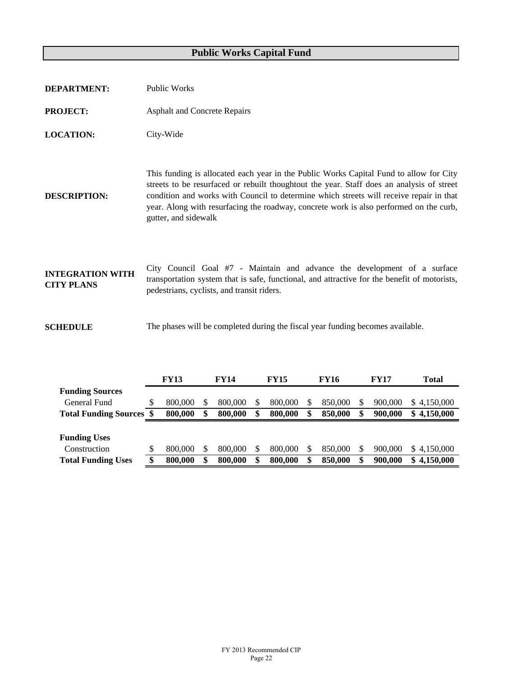| <b>DEPARTMENT:</b>                           | <b>Public Works</b>                                                                                                                                                                                                                                                                                                                                                                              |
|----------------------------------------------|--------------------------------------------------------------------------------------------------------------------------------------------------------------------------------------------------------------------------------------------------------------------------------------------------------------------------------------------------------------------------------------------------|
| <b>PROJECT:</b>                              | <b>Asphalt and Concrete Repairs</b>                                                                                                                                                                                                                                                                                                                                                              |
| <b>LOCATION:</b>                             | City-Wide                                                                                                                                                                                                                                                                                                                                                                                        |
| <b>DESCRIPTION:</b>                          | This funding is allocated each year in the Public Works Capital Fund to allow for City<br>streets to be resurfaced or rebuilt thoughtout the year. Staff does an analysis of street<br>condition and works with Council to determine which streets will receive repair in that<br>year. Along with resurfacing the roadway, concrete work is also performed on the curb,<br>gutter, and sidewalk |
| <b>INTEGRATION WITH</b><br><b>CITY PLANS</b> | City Council Goal #7 - Maintain and advance the development of a surface<br>transportation system that is safe, functional, and attractive for the benefit of motorists,<br>pedestrians, cyclists, and transit riders.                                                                                                                                                                           |
| <b>SCHEDULE</b>                              | The phases will be completed during the fiscal year funding becomes available.                                                                                                                                                                                                                                                                                                                   |

|                                 | <b>FY13</b> | <b>FY14</b> | <b>FY15</b>   | <b>FY16</b> |   | <b>FY17</b> | <b>Total</b>    |
|---------------------------------|-------------|-------------|---------------|-------------|---|-------------|-----------------|
| <b>Funding Sources</b>          |             |             |               |             |   |             |                 |
| General Fund                    | 800,000     | 800,000     | 800,000       | 850,000     | S | 900,000     | \$4.150,000     |
| <b>Total Funding Sources \$</b> | 800,000     | 800,000     | 800,000       | 850,000     | S | 900,000     | 4,150,000<br>\$ |
|                                 |             |             |               |             |   |             |                 |
| <b>Funding Uses</b>             |             |             |               |             |   |             |                 |
| Construction                    | 800,000     | 800,000     | 800,000       | 850,000     | S | 900,000     | \$4.150,000     |
| <b>Total Funding Uses</b>       | 800,000     | 800,000     | \$<br>800,000 | 850,000     | S | 900,000     | 4,150,000<br>\$ |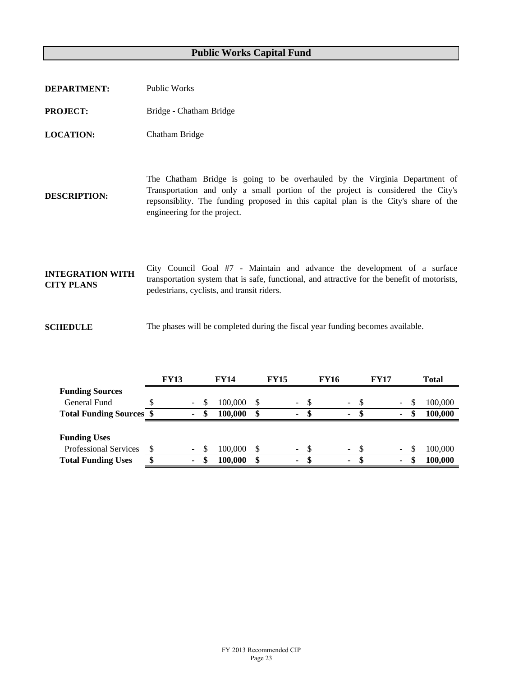| <b>DEPARTMENT:</b>                           | Public Works                                                                                                                                                                                                                                                                          |
|----------------------------------------------|---------------------------------------------------------------------------------------------------------------------------------------------------------------------------------------------------------------------------------------------------------------------------------------|
| <b>PROJECT:</b>                              | Bridge - Chatham Bridge                                                                                                                                                                                                                                                               |
| <b>LOCATION:</b>                             | Chatham Bridge                                                                                                                                                                                                                                                                        |
| <b>DESCRIPTION:</b>                          | The Chatham Bridge is going to be overhauled by the Virginia Department of<br>Transportation and only a small portion of the project is considered the City's<br>repsonsibility. The funding proposed in this capital plan is the City's share of the<br>engineering for the project. |
| <b>INTEGRATION WITH</b><br><b>CITY PLANS</b> | City Council Goal #7 - Maintain and advance the development of a surface<br>transportation system that is safe, functional, and attractive for the benefit of motorists,<br>pedestrians, cyclists, and transit riders.                                                                |
| <b>SCHEDULE</b>                              | The phases will be completed during the fiscal year funding becomes available.                                                                                                                                                                                                        |

|                                 | <b>FY13</b>    |     | <b>FY14</b> | <b>FY15</b> |                          |     | <b>FY16</b> |        |      | <b>FY17</b> |    | <b>Total</b> |
|---------------------------------|----------------|-----|-------------|-------------|--------------------------|-----|-------------|--------|------|-------------|----|--------------|
| <b>Funding Sources</b>          |                |     |             |             |                          |     |             |        |      |             |    |              |
| General Fund                    | $\blacksquare$ | \$. | 100,000     |             | $\overline{\phantom{0}}$ | \$. |             | $\sim$ | -8   |             |    | 100,000      |
| <b>Total Funding Sources \$</b> | ۰.             | S   | 100,000     | \$          | ۰                        | S   |             | ۰.     | - \$ |             | ٠  | 100,000      |
|                                 |                |     |             |             |                          |     |             |        |      |             |    |              |
| <b>Funding Uses</b>             |                |     |             |             |                          |     |             |        |      |             |    |              |
| <b>Professional Services</b>    | $\sim$         | -S  | 100,000     |             | $\overline{\phantom{0}}$ | -S  |             | $\sim$ | - \$ |             | Ξ. | 100,000      |
| <b>Total Funding Uses</b>       | \$<br>٠        |     | 100,000     | \$          | ۰                        | S   |             | ٠      | -S   |             | ٠  | 100,000      |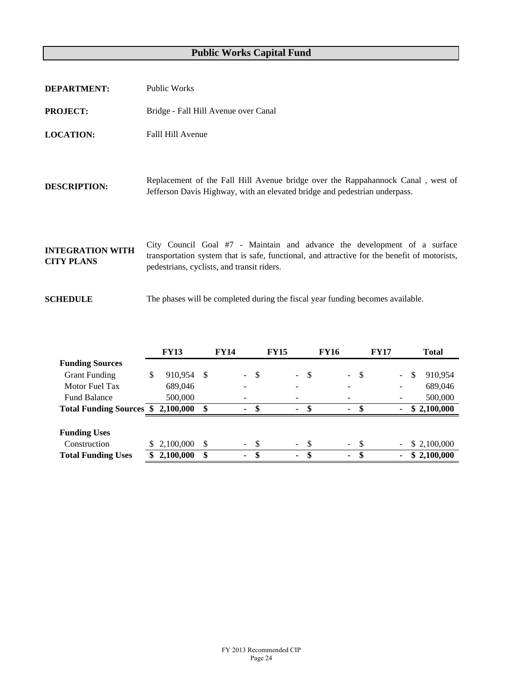| <b>DEPARTMENT:</b>                           | Public Works                                                                                                                                                                                                           |
|----------------------------------------------|------------------------------------------------------------------------------------------------------------------------------------------------------------------------------------------------------------------------|
| <b>PROJECT:</b>                              | Bridge - Fall Hill Avenue over Canal                                                                                                                                                                                   |
| <b>LOCATION:</b>                             | Falll Hill Avenue                                                                                                                                                                                                      |
| <b>DESCRIPTION:</b>                          | Replacement of the Fall Hill Avenue bridge over the Rappahannock Canal, west of<br>Jefferson Davis Highway, with an elevated bridge and pedestrian underpass.                                                          |
| <b>INTEGRATION WITH</b><br><b>CITY PLANS</b> | City Council Goal #7 - Maintain and advance the development of a surface<br>transportation system that is safe, functional, and attractive for the benefit of motorists,<br>pedestrians, cyclists, and transit riders. |
| <b>SCHEDULE</b>                              | The phases will be completed during the fiscal year funding becomes available.                                                                                                                                         |

|                                 |    | <b>FY13</b> |    | <b>FY14</b>    |                     |     | <b>FY15</b>              |                |     | <b>FY16</b>    |               | <b>FY17</b> | <b>Total</b>  |
|---------------------------------|----|-------------|----|----------------|---------------------|-----|--------------------------|----------------|-----|----------------|---------------|-------------|---------------|
| <b>Funding Sources</b>          |    |             |    |                |                     |     |                          |                |     |                |               |             |               |
| <b>Grant Funding</b>            | \$ | 910,954     | -S |                | $\omega_{\rm{eff}}$ | -\$ |                          | $\blacksquare$ | -\$ | $\sim$         | $\mathcal{S}$ | $\sim$      | \$<br>910.954 |
| Motor Fuel Tax                  |    | 689,046     |    |                |                     |     | $\overline{\phantom{0}}$ |                |     | -              |               |             | 689,046       |
| <b>Fund Balance</b>             |    | 500,000     |    |                |                     |     |                          |                |     |                |               |             | 500,000       |
| <b>Total Funding Sources \$</b> |    | 2,100,000   | \$ | $\blacksquare$ |                     | \$. |                          | ٠              | \$. | $\sim$         |               | ٠           | \$2,100,000   |
|                                 |    |             |    |                |                     |     |                          |                |     |                |               |             |               |
| <b>Funding Uses</b>             |    |             |    |                |                     |     |                          |                |     |                |               |             |               |
| Construction                    | S  | 2,100,000   | \$ |                | - \$                |     |                          | $-$ \$         |     |                | $-5$          |             | \$2,100,000   |
| <b>Total Funding Uses</b>       |    | 2,100,000   | \$ | ٠              |                     | \$  |                          | ٠              | \$. | $\blacksquare$ | - \$          |             | \$2,100,000   |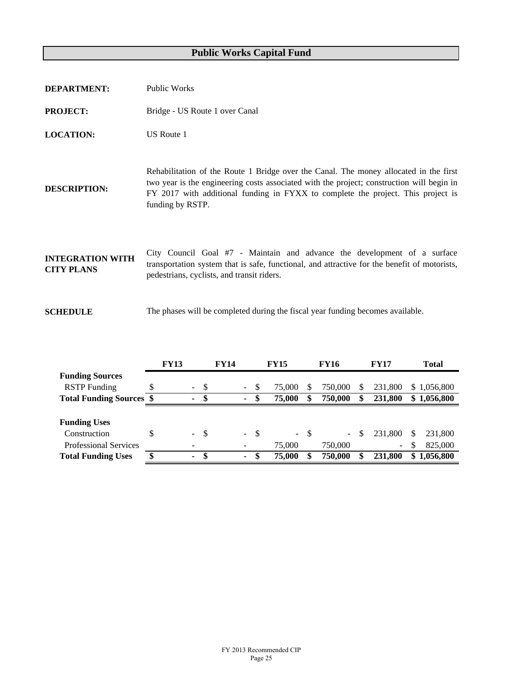| <b>DEPARTMENT:</b>                           | Public Works                                                                                                                                                                                                                                                                               |
|----------------------------------------------|--------------------------------------------------------------------------------------------------------------------------------------------------------------------------------------------------------------------------------------------------------------------------------------------|
| <b>PROJECT:</b>                              | Bridge - US Route 1 over Canal                                                                                                                                                                                                                                                             |
| <b>LOCATION:</b>                             | US Route 1                                                                                                                                                                                                                                                                                 |
| <b>DESCRIPTION:</b>                          | Rehabilitation of the Route 1 Bridge over the Canal. The money allocated in the first<br>two year is the engineering costs associated with the project; construction will begin in<br>FY 2017 with additional funding in FYXX to complete the project. This project is<br>funding by RSTP. |
| <b>INTEGRATION WITH</b><br><b>CITY PLANS</b> | City Council Goal #7 - Maintain and advance the development of a surface<br>transportation system that is safe, functional, and attractive for the benefit of motorists,<br>pedestrians, cyclists, and transit riders.                                                                     |
| <b>SCHEDULE</b>                              | The phases will be completed during the fiscal year funding becomes available.                                                                                                                                                                                                             |

|                                 |   | <b>FY13</b>              |      | <b>FY14</b> |                |               | <b>FY15</b> |    | <b>FY16</b> |    | <b>FY17</b> | Total           |
|---------------------------------|---|--------------------------|------|-------------|----------------|---------------|-------------|----|-------------|----|-------------|-----------------|
| <b>Funding Sources</b>          |   |                          |      |             |                |               |             |    |             |    |             |                 |
| <b>RSTP</b> Funding             |   | $\sim$                   | - \$ |             | $\sim$         | S             | 75,000      | S  | 750,000     | S  | 231,800     | \$1,056,800     |
| <b>Total Funding Sources \$</b> |   | ۰.                       | -S   |             | $\blacksquare$ | <sup>\$</sup> | 75,000      | S  | 750,000     | S  | 231,800     | \$1,056,800     |
|                                 |   |                          |      |             |                |               |             |    |             |    |             |                 |
| <b>Funding Uses</b>             |   |                          |      |             |                |               |             |    |             |    |             |                 |
| Construction                    | S | $\sim$                   | - \$ |             | $\sim 10^7$    | - \$          | $\sim$      | -S | $\sim$      | \$ | 231,800     | \$<br>231.800   |
| <b>Professional Services</b>    |   | $\overline{\phantom{0}}$ |      |             |                |               | 75,000      |    | 750,000     |    | $\sim$      | \$<br>825,000   |
| <b>Total Funding Uses</b>       |   | ۰.                       | -SS  |             | ۰.             | \$            | 75,000      |    | 750,000     |    | 231,800     | \$<br>1,056,800 |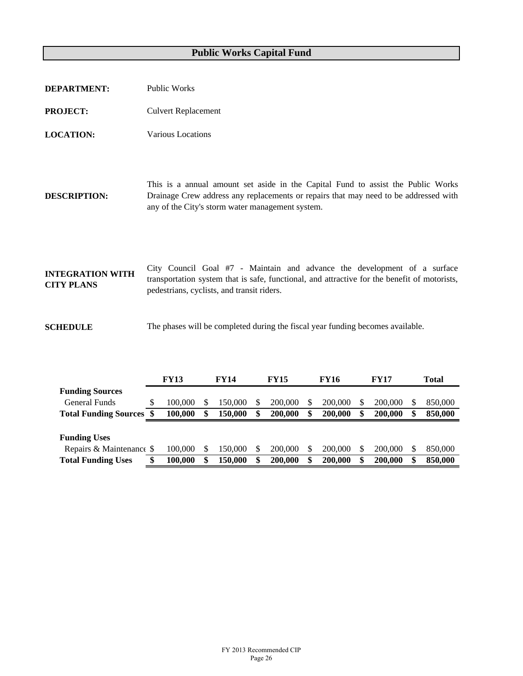| <b>DEPARTMENT:</b>                           | <b>Public Works</b>                                                                                                                                                                                                          |
|----------------------------------------------|------------------------------------------------------------------------------------------------------------------------------------------------------------------------------------------------------------------------------|
| <b>PROJECT:</b>                              | <b>Culvert Replacement</b>                                                                                                                                                                                                   |
| <b>LOCATION:</b>                             | Various Locations                                                                                                                                                                                                            |
| <b>DESCRIPTION:</b>                          | This is a annual amount set aside in the Capital Fund to assist the Public Works<br>Drainage Crew address any replacements or repairs that may need to be addressed with<br>any of the City's storm water management system. |
| <b>INTEGRATION WITH</b><br><b>CITY PLANS</b> | City Council Goal #7 - Maintain and advance the development of a surface<br>transportation system that is safe, functional, and attractive for the benefit of motorists,<br>pedestrians, cyclists, and transit riders.       |
| <b>SCHEDULE</b>                              | The phases will be completed during the fiscal year funding becomes available.                                                                                                                                               |

|                              | <b>FY13</b> | <b>FY14</b>   | <b>FY15</b>   | <b>FY16</b> | <b>FY17</b> | Total         |
|------------------------------|-------------|---------------|---------------|-------------|-------------|---------------|
| <b>Funding Sources</b>       |             |               |               |             |             |               |
| General Funds                | 100,000     | 150.000       | 200,000       | 200,000     | 200,000     | 850,000       |
| <b>Total Funding Sources</b> | 100.000     | \$<br>150.000 | \$<br>200,000 | 200,000     | 200,000     | \$<br>850,000 |
|                              |             |               |               |             |             |               |
| <b>Funding Uses</b>          |             |               |               |             |             |               |
|                              |             |               |               |             |             |               |
| Repairs & Maintenance \$     | 100,000     | 50.000        | 200,000       | 200,000     | 200,000     | \$<br>850,000 |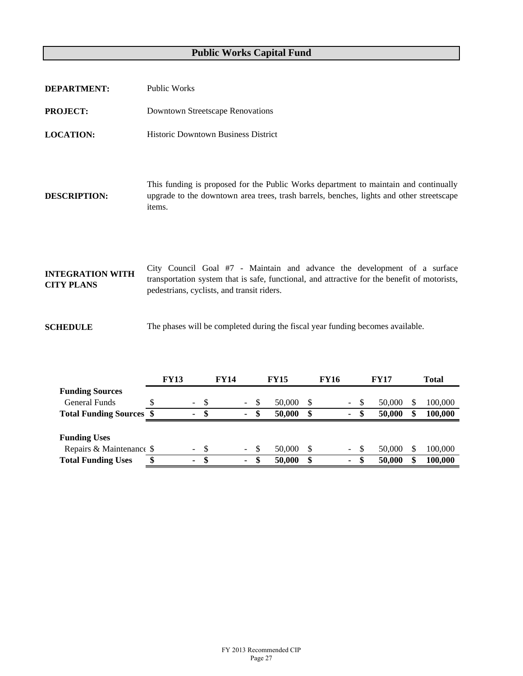| <b>DEPARTMENT:</b>                           | <b>Public Works</b>                                                                                                                                                                                                    |
|----------------------------------------------|------------------------------------------------------------------------------------------------------------------------------------------------------------------------------------------------------------------------|
| <b>PROJECT:</b>                              | <b>Downtown Streetscape Renovations</b>                                                                                                                                                                                |
| <b>LOCATION:</b>                             | <b>Historic Downtown Business District</b>                                                                                                                                                                             |
| <b>DESCRIPTION:</b>                          | This funding is proposed for the Public Works department to maintain and continually<br>upgrade to the downtown area trees, trash barrels, benches, lights and other streetscape<br>items.                             |
| <b>INTEGRATION WITH</b><br><b>CITY PLANS</b> | City Council Goal #7 - Maintain and advance the development of a surface<br>transportation system that is safe, functional, and attractive for the benefit of motorists,<br>pedestrians, cyclists, and transit riders. |
| <b>SCHEDULE</b>                              | The phases will be completed during the fiscal year funding becomes available.                                                                                                                                         |

|                                 | <b>FY13</b>              | <b>FY14</b> |                |    | <b>FY15</b> | FY16 |  |        |      | <b>FY17</b> |    | Total   |  |  |
|---------------------------------|--------------------------|-------------|----------------|----|-------------|------|--|--------|------|-------------|----|---------|--|--|
| <b>Funding Sources</b>          |                          |             |                |    |             |      |  |        |      |             |    |         |  |  |
| General Funds                   | $\blacksquare$           | - \$        | $\sim$         | -S | 50,000      | -S   |  | $\sim$ | - \$ | 50,000      |    | 100,000 |  |  |
| <b>Total Funding Sources \$</b> | ۰                        | \$          | ٠              | S  | 50,000      | \$   |  | ۰.     | S    | 50,000      | \$ | 100,000 |  |  |
|                                 |                          |             |                |    |             |      |  |        |      |             |    |         |  |  |
| <b>Funding Uses</b>             |                          |             |                |    |             |      |  |        |      |             |    |         |  |  |
| Repairs & Maintenance \$        | $\overline{\phantom{a}}$ | - \$        | $\blacksquare$ | -S | 50,000      |      |  | $\sim$ | - S  | 50,000      |    | 100,000 |  |  |
| <b>Total Funding Uses</b>       | \$<br>۰                  | \$          |                | S  | 50,000      |      |  | ۰.     | -SS  | 50,000      | \$ | 100,000 |  |  |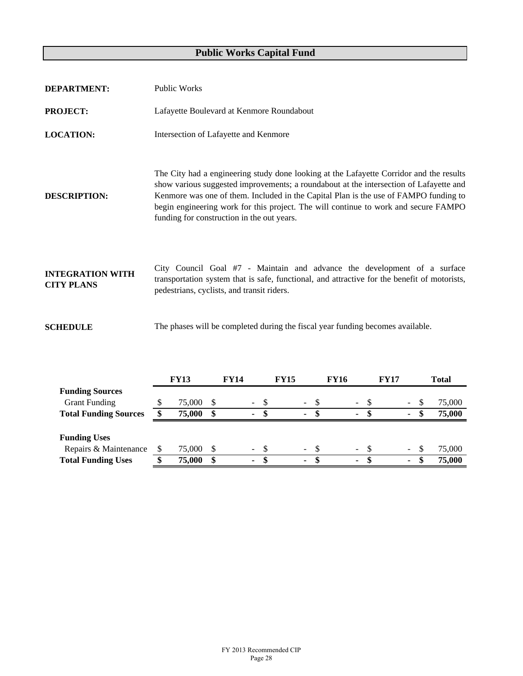| <b>DEPARTMENT:</b>                           | <b>Public Works</b>                                                                                                                                                                                                                                                                                                                                                                                            |
|----------------------------------------------|----------------------------------------------------------------------------------------------------------------------------------------------------------------------------------------------------------------------------------------------------------------------------------------------------------------------------------------------------------------------------------------------------------------|
| <b>PROJECT:</b>                              | Lafayette Boulevard at Kenmore Roundabout                                                                                                                                                                                                                                                                                                                                                                      |
| <b>LOCATION:</b>                             | Intersection of Lafayette and Kenmore                                                                                                                                                                                                                                                                                                                                                                          |
| <b>DESCRIPTION:</b>                          | The City had a engineering study done looking at the Lafayette Corridor and the results<br>show various suggested improvements; a roundabout at the intersection of Lafayette and<br>Kenmore was one of them. Included in the Capital Plan is the use of FAMPO funding to<br>begin engineering work for this project. The will continue to work and secure FAMPO<br>funding for construction in the out years. |
| <b>INTEGRATION WITH</b><br><b>CITY PLANS</b> | City Council Goal #7 - Maintain and advance the development of a surface<br>transportation system that is safe, functional, and attractive for the benefit of motorists,<br>pedestrians, cyclists, and transit riders.                                                                                                                                                                                         |
| <b>SCHEDULE</b>                              | The phases will be completed during the fiscal year funding becomes available.                                                                                                                                                                                                                                                                                                                                 |

|                              | <b>FY13</b> |    | <b>FY14</b> |                | <b>FY15</b> |  | <b>FY16</b>    |    | <b>FY17</b> |                |     | <b>Total</b> |        |     |        |
|------------------------------|-------------|----|-------------|----------------|-------------|--|----------------|----|-------------|----------------|-----|--------------|--------|-----|--------|
| <b>Funding Sources</b>       |             |    |             |                |             |  |                |    |             |                |     |              |        |     |        |
| <b>Grant Funding</b>         | 75,000      | -S |             | $\Delta \phi$  |             |  | $\sim$         | -8 |             | $\sim$         | -S  |              | Ξ.     | \$. | 75,000 |
| <b>Total Funding Sources</b> | 75,000      | S  |             | ۰.             |             |  | ۰.             |    |             | $\sim$         |     |              | ۰.     | S   | 75,000 |
|                              |             |    |             |                |             |  |                |    |             |                |     |              |        |     |        |
| <b>Funding Uses</b>          |             |    |             |                |             |  |                |    |             |                |     |              |        |     |        |
| Repairs & Maintenance        | 75,000      | -S |             | $\sim$ 10 $\,$ |             |  | $\sim$ $-$     |    |             | $\sim$         |     |              | $\sim$ | -S  | 75,000 |
| <b>Total Funding Uses</b>    | 75,000      | \$ |             | ٠              |             |  | $\blacksquare$ | -S |             | $\blacksquare$ | \$. |              | ۰.     | -8  | 75,000 |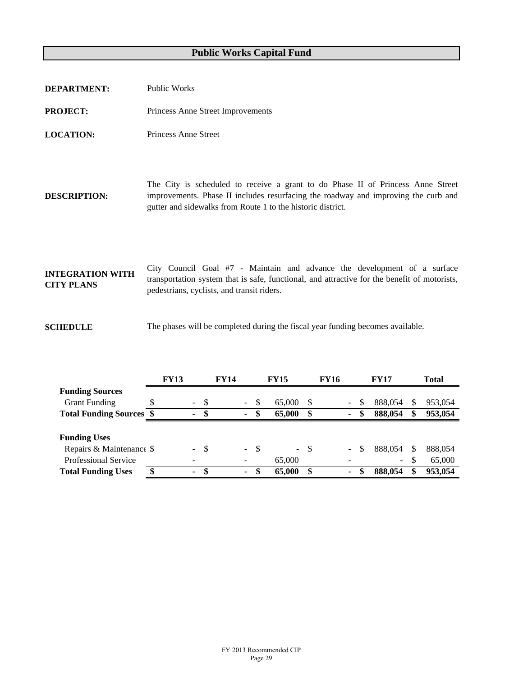| <b>DEPARTMENT:</b>                           | Public Works                                                                                                                                                                                                                         |
|----------------------------------------------|--------------------------------------------------------------------------------------------------------------------------------------------------------------------------------------------------------------------------------------|
| <b>PROJECT:</b>                              | Princess Anne Street Improvements                                                                                                                                                                                                    |
| <b>LOCATION:</b>                             | <b>Princess Anne Street</b>                                                                                                                                                                                                          |
| <b>DESCRIPTION:</b>                          | The City is scheduled to receive a grant to do Phase II of Princess Anne Street<br>improvements. Phase II includes resurfacing the roadway and improving the curb and<br>gutter and sidewalks from Route 1 to the historic district. |
| <b>INTEGRATION WITH</b><br><b>CITY PLANS</b> | City Council Goal #7 - Maintain and advance the development of a surface<br>transportation system that is safe, functional, and attractive for the benefit of motorists,<br>pedestrians, cyclists, and transit riders.               |
| <b>SCHEDULE</b>                              | The phases will be completed during the fiscal year funding becomes available.                                                                                                                                                       |

|                                 | <b>FY13</b>    | <b>FY14</b> |  |                |    | <b>FY15</b> | <b>FY16</b> |        |   | <b>FY17</b> |     | <b>Total</b> |  |  |
|---------------------------------|----------------|-------------|--|----------------|----|-------------|-------------|--------|---|-------------|-----|--------------|--|--|
| <b>Funding Sources</b>          |                |             |  |                |    |             |             |        |   |             |     |              |  |  |
| <b>Grant Funding</b>            | $\sim$         | -\$         |  | $\sim$         | S  | 65,000      | -S          | $\sim$ | S | 888,054     | \$  | 953,054      |  |  |
| <b>Total Funding Sources \$</b> | $\blacksquare$ | - \$        |  | $\blacksquare$ | \$ | 65,000      | S           | $\sim$ | S | 888,054     | \$  | 953,054      |  |  |
|                                 |                |             |  |                |    |             |             |        |   |             |     |              |  |  |
| <b>Funding Uses</b>             |                |             |  |                |    |             |             |        |   |             |     |              |  |  |
| Repairs & Maintenance \$        | $\sim$         | - \$        |  | - \$           |    |             | - \$        | $\sim$ | S | 888.054     | \$. | 888.054      |  |  |
| <b>Professional Service</b>     |                |             |  |                |    | 65,000      |             |        |   | $\sim$      | \$  | 65,000       |  |  |
| <b>Total Funding Uses</b>       | ۰.             | S           |  | ۰.             | \$ | 65,000      |             | ۰.     |   | 888,054     | \$  | 953,054      |  |  |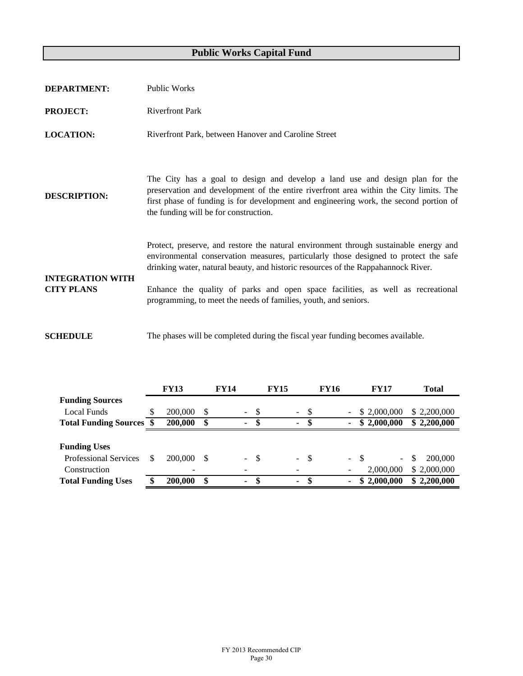| <b>DEPARTMENT:</b>                           | <b>Public Works</b>                                                                                                                                                                                                                                                                                                                                                                                                      |
|----------------------------------------------|--------------------------------------------------------------------------------------------------------------------------------------------------------------------------------------------------------------------------------------------------------------------------------------------------------------------------------------------------------------------------------------------------------------------------|
| <b>PROJECT:</b>                              | <b>Riverfront Park</b>                                                                                                                                                                                                                                                                                                                                                                                                   |
| <b>LOCATION:</b>                             | Riverfront Park, between Hanover and Caroline Street                                                                                                                                                                                                                                                                                                                                                                     |
| <b>DESCRIPTION:</b>                          | The City has a goal to design and develop a land use and design plan for the<br>preservation and development of the entire riverfront area within the City limits. The<br>first phase of funding is for development and engineering work, the second portion of<br>the funding will be for construction.                                                                                                                 |
| <b>INTEGRATION WITH</b><br><b>CITY PLANS</b> | Protect, preserve, and restore the natural environment through sustainable energy and<br>environmental conservation measures, particularly those designed to protect the safe<br>drinking water, natural beauty, and historic resources of the Rappahannock River.<br>Enhance the quality of parks and open space facilities, as well as recreational<br>programming, to meet the needs of families, youth, and seniors. |
| <b>SCHEDULE</b>                              | The phases will be completed during the fiscal year funding becomes available.                                                                                                                                                                                                                                                                                                                                           |

|                                 | <b>FY13</b>              |    | <b>FY14</b> |            |      | <b>FY15</b> |                     |      | <b>FY16</b> |                          | <b>FY17</b>  | Total        |
|---------------------------------|--------------------------|----|-------------|------------|------|-------------|---------------------|------|-------------|--------------------------|--------------|--------------|
| <b>Funding Sources</b>          |                          |    |             |            |      |             |                     |      |             |                          |              |              |
| Local Funds                     | 200,000                  | S  |             | $\sim$     | - \$ |             | $\sim$ $-$          | - \$ |             | $\overline{\phantom{a}}$ | \$ 2,000,000 | \$2,200,000  |
| <b>Total Funding Sources \$</b> | 200,000                  | \$ |             | ۰.         | -SS  |             | ٠                   | -SS  |             | ٠                        | \$2,000,000  | \$2,200,000  |
|                                 |                          |    |             |            |      |             |                     |      |             |                          |              |              |
| <b>Funding Uses</b>             |                          |    |             |            |      |             |                     |      |             |                          |              |              |
| <b>Professional Services</b>    | 200,000                  | -S |             | $\sim$ $-$ | - \$ |             | $\omega_{\rm{max}}$ | - \$ |             | $- S$                    |              | 200,000<br>S |
| Construction                    | $\overline{\phantom{0}}$ |    |             |            |      |             |                     |      |             | $\overline{\phantom{a}}$ | 2,000,000    | \$2,000,000  |
| <b>Total Funding Uses</b>       | 200,000                  | \$ |             | ۰.         | -S   |             | ۰                   |      |             | ۰                        | 2,000,000    | \$2,200,000  |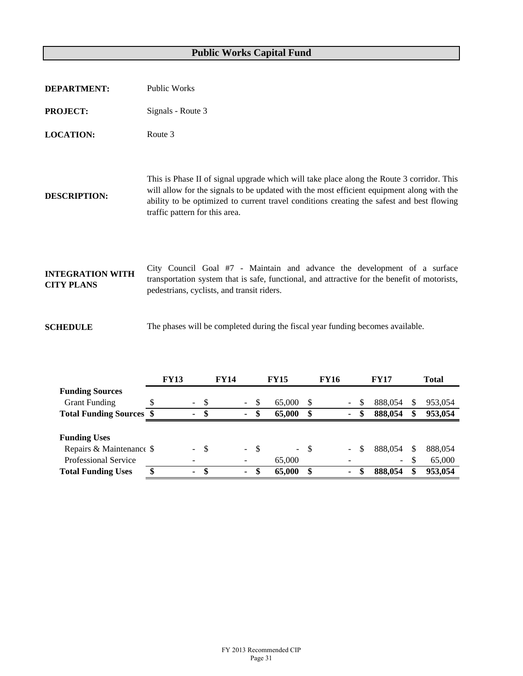| <b>DEPARTMENT:</b>                           | <b>Public Works</b>                                                                                                                                                                                                                                                                                                   |
|----------------------------------------------|-----------------------------------------------------------------------------------------------------------------------------------------------------------------------------------------------------------------------------------------------------------------------------------------------------------------------|
| <b>PROJECT:</b>                              | Signals - Route 3                                                                                                                                                                                                                                                                                                     |
| <b>LOCATION:</b>                             | Route 3                                                                                                                                                                                                                                                                                                               |
| <b>DESCRIPTION:</b>                          | This is Phase II of signal upgrade which will take place along the Route 3 corridor. This<br>will allow for the signals to be updated with the most efficient equipment along with the<br>ability to be optimized to current travel conditions creating the safest and best flowing<br>traffic pattern for this area. |
| <b>INTEGRATION WITH</b><br><b>CITY PLANS</b> | City Council Goal #7 - Maintain and advance the development of a surface<br>transportation system that is safe, functional, and attractive for the benefit of motorists,<br>pedestrians, cyclists, and transit riders.                                                                                                |
| <b>SCHEDULE</b>                              | The phases will be completed during the fiscal year funding becomes available.                                                                                                                                                                                                                                        |

|                                 | <b>FY13</b>              |    | <b>FY14</b> |                |      | <b>FY15</b> | FY16   |        |    | <b>FY17</b> |         |    | <b>Total</b> |  |  |
|---------------------------------|--------------------------|----|-------------|----------------|------|-------------|--------|--------|----|-------------|---------|----|--------------|--|--|
| <b>Funding Sources</b>          |                          |    |             |                |      |             |        |        |    |             |         |    |              |  |  |
| <b>Grant Funding</b>            | $\sim$                   | -8 |             | $\sim$         | -S   | 65,000      |        | $\sim$ | S  |             | 888.054 | \$ | 953,054      |  |  |
| <b>Total Funding Sources \$</b> | $\blacksquare$           | -S |             | ۰.             | -SS  | 65,000      | \$     | ۰.     | \$ |             | 888,054 | \$ | 953,054      |  |  |
|                                 |                          |    |             |                |      |             |        |        |    |             |         |    |              |  |  |
| <b>Funding Uses</b>             |                          |    |             |                |      |             |        |        |    |             |         |    |              |  |  |
| Repairs & Maintenance \$        | $\blacksquare$           | -S |             | $\sim$ $^{-1}$ | - \$ |             | $-$ \$ | $\sim$ | S  |             | 888.054 | \$ | 888.054      |  |  |
| <b>Professional Service</b>     | $\overline{\phantom{a}}$ |    |             |                |      | 65,000      |        |        |    |             | $\sim$  | \$ | 65,000       |  |  |
| <b>Total Funding Uses</b>       | $\blacksquare$           | S  |             | $\blacksquare$ | S    | 65,000      | \$     | ۰.     | \$ |             | 888.054 | \$ | 953,054      |  |  |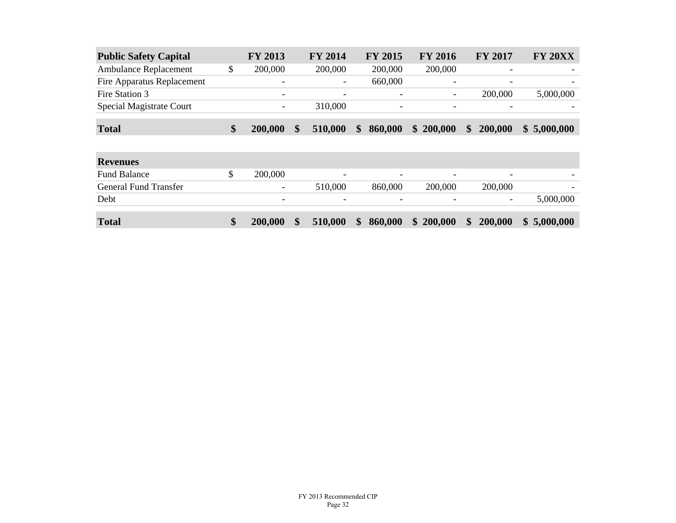| <b>Public Safety Capital</b> |   | <b>FY 2013</b> | <b>FY 2014</b>           | <b>FY 2015</b>           | <b>FY 2016</b>           | <b>FY 2017</b>           | <b>FY 20XX</b> |
|------------------------------|---|----------------|--------------------------|--------------------------|--------------------------|--------------------------|----------------|
| <b>Ambulance Replacement</b> | S | 200,000        | 200,000                  | 200,000                  | 200,000                  |                          |                |
| Fire Apparatus Replacement   |   | -              | $\overline{\phantom{a}}$ | 660,000                  | $\overline{\phantom{0}}$ | $\overline{\phantom{0}}$ |                |
| Fire Station 3               |   | -              | $\overline{\phantom{a}}$ | $\overline{\phantom{a}}$ | $\overline{\phantom{a}}$ | 200,000                  | 5,000,000      |
| Special Magistrate Court     |   | -              | 310,000                  | -                        | $\overline{\phantom{0}}$ |                          |                |
| <b>Total</b>                 |   | 200,000        | 510,000                  | 860,000<br>$\mathbf{s}$  | \$200,000                | 200,000<br>$\mathbf{s}$  | \$5,000,000    |

| <b>Revenues</b>              |                          |                          |                          |                          |               |                          |             |
|------------------------------|--------------------------|--------------------------|--------------------------|--------------------------|---------------|--------------------------|-------------|
| <b>Fund Balance</b>          | 200,000                  | $\overline{\phantom{0}}$ | $\overline{\phantom{0}}$ | $\overline{\phantom{0}}$ |               | $\overline{\phantom{0}}$ |             |
| <b>General Fund Transfer</b> | $\overline{\phantom{a}}$ | 510,000                  | 860,000                  | 200,000                  |               | 200,000                  |             |
| Debt                         | $\overline{\phantom{0}}$ | $\overline{\phantom{a}}$ | $\overline{\phantom{0}}$ | $\overline{\phantom{0}}$ |               | $\overline{\phantom{0}}$ | 5,000,000   |
|                              |                          |                          |                          |                          |               |                          |             |
| <b>Total</b>                 | 200,000                  | 510,000                  | \$<br>860,000            | 200,000<br>$\mathbf{\$}$ | $\frac{1}{2}$ | 200,000                  | \$5,000,000 |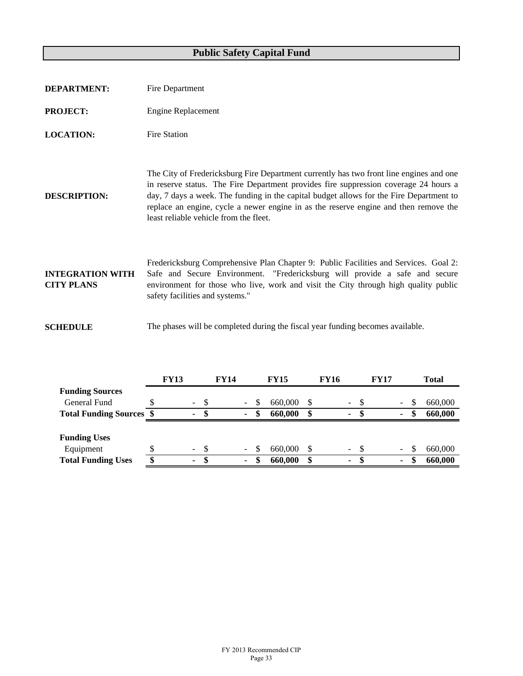| <b>DEPARTMENT:</b>                           | Fire Department                                                                                                                                                                                                                                                                                                                                                                                              |
|----------------------------------------------|--------------------------------------------------------------------------------------------------------------------------------------------------------------------------------------------------------------------------------------------------------------------------------------------------------------------------------------------------------------------------------------------------------------|
| <b>PROJECT:</b>                              | <b>Engine Replacement</b>                                                                                                                                                                                                                                                                                                                                                                                    |
| <b>LOCATION:</b>                             | <b>Fire Station</b>                                                                                                                                                                                                                                                                                                                                                                                          |
| <b>DESCRIPTION:</b>                          | The City of Fredericksburg Fire Department currently has two front line engines and one<br>in reserve status. The Fire Department provides fire suppression coverage 24 hours a<br>day, 7 days a week. The funding in the capital budget allows for the Fire Department to<br>replace an engine, cycle a newer engine in as the reserve engine and then remove the<br>least reliable vehicle from the fleet. |
| <b>INTEGRATION WITH</b><br><b>CITY PLANS</b> | Fredericksburg Comprehensive Plan Chapter 9: Public Facilities and Services. Goal 2:<br>Safe and Secure Environment. "Fredericksburg will provide a safe and secure<br>environment for those who live, work and visit the City through high quality public<br>safety facilities and systems."                                                                                                                |
| <b>SCHEDULE</b>                              | The phases will be completed during the fiscal year funding becomes available.                                                                                                                                                                                                                                                                                                                               |

|                                 |   | <b>FY13</b> |                |      | <b>FY14</b> |                          |     | <b>FY15</b><br>FY16 |  |  |        | <b>FY17</b>   | <b>Total</b> |        |  |         |
|---------------------------------|---|-------------|----------------|------|-------------|--------------------------|-----|---------------------|--|--|--------|---------------|--------------|--------|--|---------|
| <b>Funding Sources</b>          |   |             |                |      |             |                          |     |                     |  |  |        |               |              |        |  |         |
| General Fund                    |   |             | $\blacksquare$ | -S   |             | Ξ.                       | \$. | 660,000             |  |  | $\sim$ | <sup>\$</sup> |              | $\sim$ |  | 660,000 |
| <b>Total Funding Sources \$</b> |   |             | ۰              | S    |             | ۰                        | S   | 660,000             |  |  | ۰.     |               |              | ٠      |  | 660,000 |
|                                 |   |             |                |      |             |                          |     |                     |  |  |        |               |              |        |  |         |
| <b>Funding Uses</b>             |   |             |                |      |             |                          |     |                     |  |  |        |               |              |        |  |         |
| Equipment                       |   |             | $\sim$         | - \$ |             | $\overline{\phantom{0}}$ | \$. | 660,000             |  |  | $\sim$ | -S            |              | ۰.     |  | 660,000 |
| <b>Total Funding Uses</b>       | Φ |             | ۰              | -S   |             | ۰                        | \$  | 660,000             |  |  | ۰.     | S             |              | ٠      |  | 660,000 |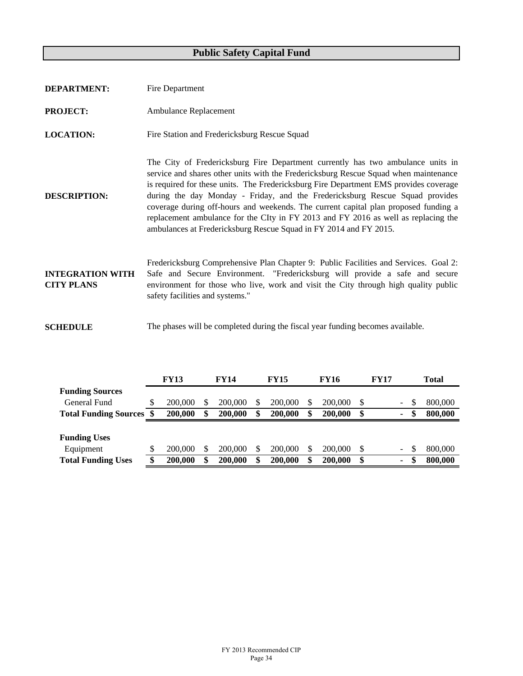| <b>DEPARTMENT:</b>                           | Fire Department                                                                                                                                                                                                                                                                                                                                                                                                                                                                                                                                                                                    |
|----------------------------------------------|----------------------------------------------------------------------------------------------------------------------------------------------------------------------------------------------------------------------------------------------------------------------------------------------------------------------------------------------------------------------------------------------------------------------------------------------------------------------------------------------------------------------------------------------------------------------------------------------------|
| <b>PROJECT:</b>                              | Ambulance Replacement                                                                                                                                                                                                                                                                                                                                                                                                                                                                                                                                                                              |
| <b>LOCATION:</b>                             | Fire Station and Fredericksburg Rescue Squad                                                                                                                                                                                                                                                                                                                                                                                                                                                                                                                                                       |
| <b>DESCRIPTION:</b>                          | The City of Fredericksburg Fire Department currently has two ambulance units in<br>service and shares other units with the Fredericksburg Rescue Squad when maintenance<br>is required for these units. The Fredericksburg Fire Department EMS provides coverage<br>during the day Monday - Friday, and the Fredericksburg Rescue Squad provides<br>coverage during off-hours and weekends. The current capital plan proposed funding a<br>replacement ambulance for the CIty in FY 2013 and FY 2016 as well as replacing the<br>ambulances at Fredericksburg Rescue Squad in FY 2014 and FY 2015. |
| <b>INTEGRATION WITH</b><br><b>CITY PLANS</b> | Fredericksburg Comprehensive Plan Chapter 9: Public Facilities and Services. Goal 2:<br>Safe and Secure Environment. "Fredericksburg will provide a safe and secure<br>environment for those who live, work and visit the City through high quality public<br>safety facilities and systems."                                                                                                                                                                                                                                                                                                      |
| <b>SCHEDULE</b>                              | The phases will be completed during the fiscal year funding becomes available.                                                                                                                                                                                                                                                                                                                                                                                                                                                                                                                     |

|                              | <b>FY13</b>   | <b>FY14</b>   | <b>FY15</b>   | <b>FY16</b> |         |     | <b>FY17</b> |                          | <b>Total</b> |         |  |  |
|------------------------------|---------------|---------------|---------------|-------------|---------|-----|-------------|--------------------------|--------------|---------|--|--|
| <b>Funding Sources</b>       |               |               |               |             |         |     |             |                          |              |         |  |  |
| General Fund                 | 200,000       | 200,000       | 200,000       |             | 200,000 | -S  |             | $\overline{\phantom{a}}$ | \$           | 800,000 |  |  |
| <b>Total Funding Sources</b> | 200,000       | 200,000       | \$<br>200,000 |             | 200,000 | S   |             | ۰                        | \$           | 800,000 |  |  |
|                              |               |               |               |             |         |     |             |                          |              |         |  |  |
| <b>Funding Uses</b>          |               |               |               |             |         |     |             |                          |              |         |  |  |
| Equipment                    | 200,000       | 200,000       | 200,000       |             | 200,000 | -\$ |             | ۰.                       | S            | 800,000 |  |  |
| <b>Total Funding Uses</b>    | \$<br>200,000 | \$<br>200,000 | 200,000       |             | 200,000 | S   |             | ۰                        | \$           | 800,000 |  |  |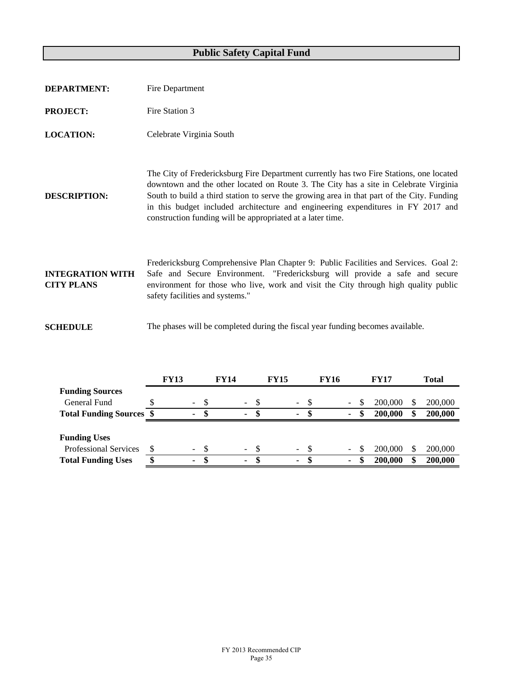| <b>DEPARTMENT:</b>                           | Fire Department                                                                                                                                                                                                                                                                                                                                                                                                                 |
|----------------------------------------------|---------------------------------------------------------------------------------------------------------------------------------------------------------------------------------------------------------------------------------------------------------------------------------------------------------------------------------------------------------------------------------------------------------------------------------|
| <b>PROJECT:</b>                              | Fire Station 3                                                                                                                                                                                                                                                                                                                                                                                                                  |
| <b>LOCATION:</b>                             | Celebrate Virginia South                                                                                                                                                                                                                                                                                                                                                                                                        |
| <b>DESCRIPTION:</b>                          | The City of Fredericksburg Fire Department currently has two Fire Stations, one located<br>downtown and the other located on Route 3. The City has a site in Celebrate Virginia<br>South to build a third station to serve the growing area in that part of the City. Funding<br>in this budget included architecture and engineering expenditures in FY 2017 and<br>construction funding will be appropriated at a later time. |
| <b>INTEGRATION WITH</b><br><b>CITY PLANS</b> | Fredericksburg Comprehensive Plan Chapter 9: Public Facilities and Services. Goal 2:<br>Safe and Secure Environment. "Fredericksburg will provide a safe and secure<br>environment for those who live, work and visit the City through high quality public<br>safety facilities and systems."                                                                                                                                   |
| <b>SCHEDULE</b>                              | The phases will be completed during the fiscal year funding becomes available.                                                                                                                                                                                                                                                                                                                                                  |

|                                 | <b>FY13</b> |                | <b>FY14</b> |                |      | <b>FY15</b> |                |      | FY16 |          | <b>FY17</b> |         |    | Total   |
|---------------------------------|-------------|----------------|-------------|----------------|------|-------------|----------------|------|------|----------|-------------|---------|----|---------|
| <b>Funding Sources</b>          |             |                |             |                |      |             |                |      |      |          |             |         |    |         |
| General Fund                    | $\sim$      | -8             |             | $\sim 100$     | -\$  |             | $\sim$         |      |      | $\sim$ . | S           | 200,000 | S  | 200,000 |
| <b>Total Funding Sources \$</b> | ٠           | S              |             | ٠              | \$.  |             | $\blacksquare$ | \$.  |      | ۰.       |             | 200,000 | \$ | 200,000 |
|                                 |             |                |             |                |      |             |                |      |      |          |             |         |    |         |
| <b>Funding Uses</b>             |             |                |             |                |      |             |                |      |      |          |             |         |    |         |
| <b>Professional Services</b>    |             | - \$<br>$\sim$ |             | $\sim 10^{-1}$ | - \$ |             | $\sim$         | - \$ |      | $\sim$   | S           | 200,000 | \$ | 200,000 |
| <b>Total Funding Uses</b>       |             | S              |             | ۰              | S    |             | $\blacksquare$ |      |      | ۰.       |             | 200,000 | \$ | 200,000 |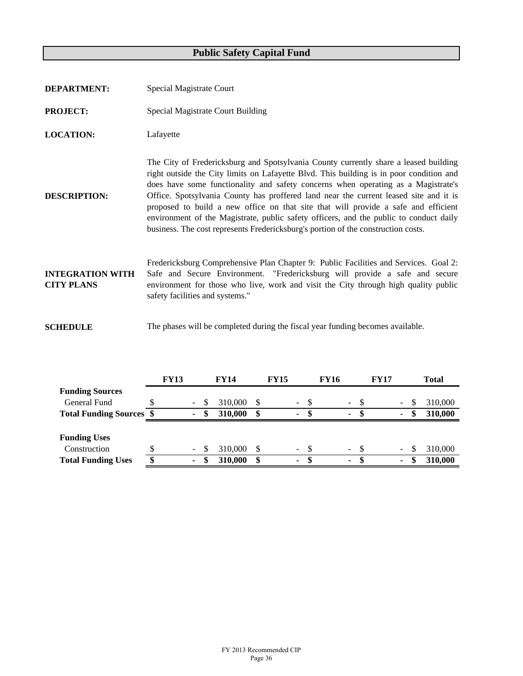| <b>DEPARTMENT:</b>                           | Special Magistrate Court                                                                                                                                                                                                                                                                                                                                                                                                                                                                                                                                                                                                           |
|----------------------------------------------|------------------------------------------------------------------------------------------------------------------------------------------------------------------------------------------------------------------------------------------------------------------------------------------------------------------------------------------------------------------------------------------------------------------------------------------------------------------------------------------------------------------------------------------------------------------------------------------------------------------------------------|
| <b>PROJECT:</b>                              | <b>Special Magistrate Court Building</b>                                                                                                                                                                                                                                                                                                                                                                                                                                                                                                                                                                                           |
| <b>LOCATION:</b>                             | Lafayette                                                                                                                                                                                                                                                                                                                                                                                                                                                                                                                                                                                                                          |
| <b>DESCRIPTION:</b>                          | The City of Fredericksburg and Spotsylvania County currently share a leased building<br>right outside the City limits on Lafayette Blvd. This building is in poor condition and<br>does have some functionality and safety concerns when operating as a Magistrate's<br>Office. Spotsylvania County has proffered land near the current leased site and it is<br>proposed to build a new office on that site that will provide a safe and efficient<br>environment of the Magistrate, public safety officers, and the public to conduct daily<br>business. The cost represents Fredericksburg's portion of the construction costs. |
| <b>INTEGRATION WITH</b><br><b>CITY PLANS</b> | Fredericksburg Comprehensive Plan Chapter 9: Public Facilities and Services. Goal 2:<br>Safe and Secure Environment. "Fredericksburg will provide a safe and secure<br>environment for those who live, work and visit the City through high quality public<br>safety facilities and systems."                                                                                                                                                                                                                                                                                                                                      |
| <b>SCHEDULE</b>                              | The phases will be completed during the fiscal year funding becomes available.                                                                                                                                                                                                                                                                                                                                                                                                                                                                                                                                                     |

|                                 |   | <b>FY13</b> |                          |   | <b>FY14</b> | <b>FY15</b> |                          |     | <b>FY16</b> |                          |      | <b>FY17</b> |        |    | <b>Total</b> |  |  |
|---------------------------------|---|-------------|--------------------------|---|-------------|-------------|--------------------------|-----|-------------|--------------------------|------|-------------|--------|----|--------------|--|--|
| <b>Funding Sources</b>          |   |             |                          |   |             |             |                          |     |             |                          |      |             |        |    |              |  |  |
| General Fund                    |   |             | $\overline{\phantom{a}}$ | S | 310,000     | S           | $\overline{\phantom{a}}$ | \$. |             | $\overline{\phantom{0}}$ | - \$ |             | $\sim$ | S  | 310,000      |  |  |
| <b>Total Funding Sources \$</b> |   |             | ٠                        | S | 310,000     | \$          | $\sim$                   | ъ   |             | ۰                        | S.   |             | ۰.     | S  | 310,000      |  |  |
|                                 |   |             |                          |   |             |             |                          |     |             |                          |      |             |        |    |              |  |  |
| <b>Funding Uses</b>             |   |             |                          |   |             |             |                          |     |             |                          |      |             |        |    |              |  |  |
| Construction                    |   |             | ۰                        | S | 310,000     | S           | $\sim$                   |     |             | $\sim$                   | - \$ |             | ۰.     | S  | 310,000      |  |  |
| <b>Total Funding Uses</b>       | ጡ |             | ۰                        |   | 310,000     | \$          | $\sim$                   | S   |             | ۰                        | -S   |             | ۰      | \$ | 310,000      |  |  |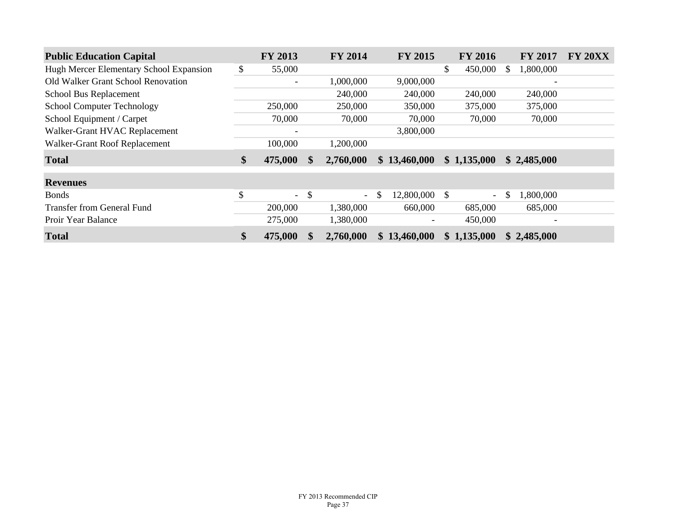| <b>Public Education Capital</b>         | FY 2013                  | <b>FY 2014</b>                 | <b>FY 2015</b>      | <b>FY 2016</b>           |          | <b>FY 2017</b>           | <b>FY 20XX</b> |
|-----------------------------------------|--------------------------|--------------------------------|---------------------|--------------------------|----------|--------------------------|----------------|
| Hugh Mercer Elementary School Expansion | \$<br>55,000             |                                |                     | \$<br>450,000            | <b>S</b> | 1,800,000                |                |
| Old Walker Grant School Renovation      | $\overline{\phantom{a}}$ | 1,000,000                      | 9,000,000           |                          |          | $\overline{\phantom{a}}$ |                |
| School Bus Replacement                  |                          | 240,000                        | 240,000             | 240,000                  |          | 240,000                  |                |
| <b>School Computer Technology</b>       | 250,000                  | 250,000                        | 350,000             | 375,000                  |          | 375,000                  |                |
| School Equipment / Carpet               | 70,000                   | 70,000                         | 70,000              | 70,000                   |          | 70,000                   |                |
| Walker-Grant HVAC Replacement           |                          |                                | 3,800,000           |                          |          |                          |                |
| Walker-Grant Roof Replacement           | 100,000                  | 1,200,000                      |                     |                          |          |                          |                |
| <b>Total</b>                            | \$<br>475,000            | \$<br>2,760,000                | \$13,460,000        | \$1,135,000              |          | \$2,485,000              |                |
| <b>Revenues</b>                         |                          |                                |                     |                          |          |                          |                |
| <b>Bonds</b>                            | \$<br>$\equiv$           | \$<br>$\overline{\phantom{a}}$ | \$<br>12,800,000 \$ | $\overline{\phantom{0}}$ | S        | 1,800,000                |                |
| Transfer from General Fund              | 200,000                  | 1,380,000                      | 660,000             | 685,000                  |          | 685,000                  |                |
| Proir Year Balance                      | 275,000                  | 1,380,000                      |                     | 450,000                  |          |                          |                |
| <b>Total</b>                            | \$<br>475,000            | 2,760,000                      | \$13,460,000        | \$1,135,000              |          | \$2,485,000              |                |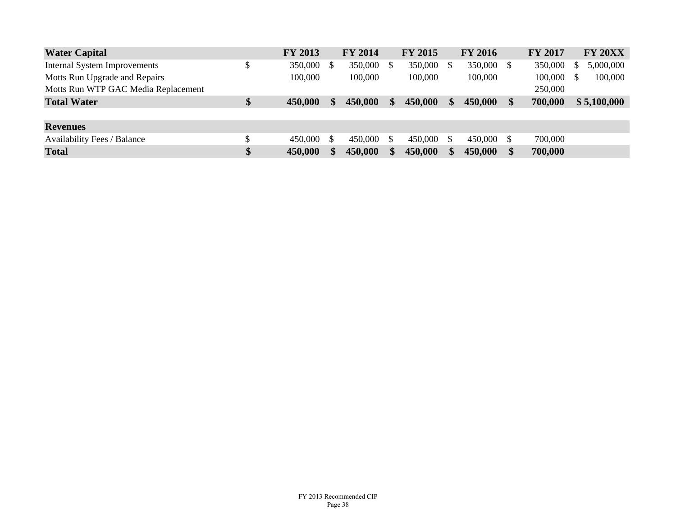| <b>Water Capital</b>                | <b>FY 2013</b> | <b>FY 2014</b> |     | <b>FY 2015</b> | <b>FY 2016</b> |    | <b>FY 2017</b> | <b>FY 20XX</b> |
|-------------------------------------|----------------|----------------|-----|----------------|----------------|----|----------------|----------------|
| <b>Internal System Improvements</b> | \$<br>350,000  | 350,000        | \$. | 350,000        | 350,000        | S  | 350,000        | 5,000,000      |
| Motts Run Upgrade and Repairs       | 100,000        | 100,000        |     | 100,000        | 100,000        |    | 100,000        | 100,000        |
| Motts Run WTP GAC Media Replacement |                |                |     |                |                |    | 250,000        |                |
| <b>Total Water</b>                  | \$<br>450,000  | 450,000        | \$  | 450,000        | 450,000        |    | 700,000        | \$5,100,000    |
|                                     |                |                |     |                |                |    |                |                |
| <b>Revenues</b>                     |                |                |     |                |                |    |                |                |
| <b>Availability Fees / Balance</b>  | 450,000        | 450,000        | S.  | 450,000        | 450,000        | £. | 700,000        |                |
| <b>Total</b>                        | \$<br>450,000  | 450,000        |     | 450,000        | 450,000        |    | 700,000        |                |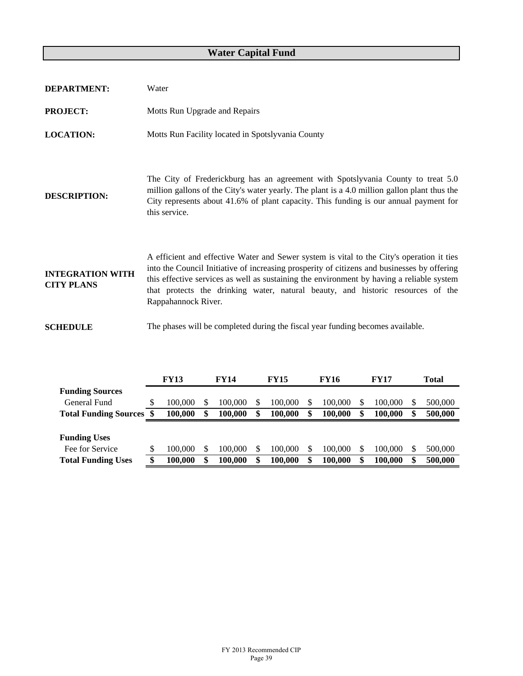## **Water Capital Fund**

| <b>DEPARTMENT:</b>                           | Water                                                                                                                                                                                                                                                                                                                                                                                           |
|----------------------------------------------|-------------------------------------------------------------------------------------------------------------------------------------------------------------------------------------------------------------------------------------------------------------------------------------------------------------------------------------------------------------------------------------------------|
| <b>PROJECT:</b>                              | Motts Run Upgrade and Repairs                                                                                                                                                                                                                                                                                                                                                                   |
| <b>LOCATION:</b>                             | Motts Run Facility located in Spotslyvania County                                                                                                                                                                                                                                                                                                                                               |
| <b>DESCRIPTION:</b>                          | The City of Frederickburg has an agreement with Spotslyvania County to treat 5.0<br>million gallons of the City's water yearly. The plant is a 4.0 million gallon plant thus the<br>City represents about 41.6% of plant capacity. This funding is our annual payment for<br>this service.                                                                                                      |
| <b>INTEGRATION WITH</b><br><b>CITY PLANS</b> | A efficient and effective Water and Sewer system is vital to the City's operation it ties<br>into the Council Initiative of increasing prosperity of citizens and businesses by offering<br>this effective services as well as sustaining the environment by having a reliable system<br>that protects the drinking water, natural beauty, and historic resources of the<br>Rappahannock River. |
| <b>SCHEDULE</b>                              | The phases will be completed during the fiscal year funding becomes available.                                                                                                                                                                                                                                                                                                                  |

|                              |    | <b>FY13</b> |   | <b>FY14</b> |    | <b>FY15</b> | FY16    |   | <b>FY17</b> | Total |         |  |
|------------------------------|----|-------------|---|-------------|----|-------------|---------|---|-------------|-------|---------|--|
| <b>Funding Sources</b>       |    |             |   |             |    |             |         |   |             |       |         |  |
| General Fund                 | S  | 100.000     |   | 100.000     | S  | 100,000     | 100.000 | S | 100,000     | S     | 500,000 |  |
| <b>Total Funding Sources</b> |    | 100.000     | S | 100.000     | \$ | 100.000     | 100.000 | S | 100.000     | \$    | 500,000 |  |
|                              |    |             |   |             |    |             |         |   |             |       |         |  |
| <b>Funding Uses</b>          |    |             |   |             |    |             |         |   |             |       |         |  |
| Fee for Service              |    | 100,000     |   | 100.000     | S. | 100,000     | 100.000 | S | 100,000     | S     | 500,000 |  |
| <b>Total Funding Uses</b>    | Ф. | 100.000     | S | 100.000     | \$ | 100.000     | 100.000 |   | 100.000     | \$    | 500,000 |  |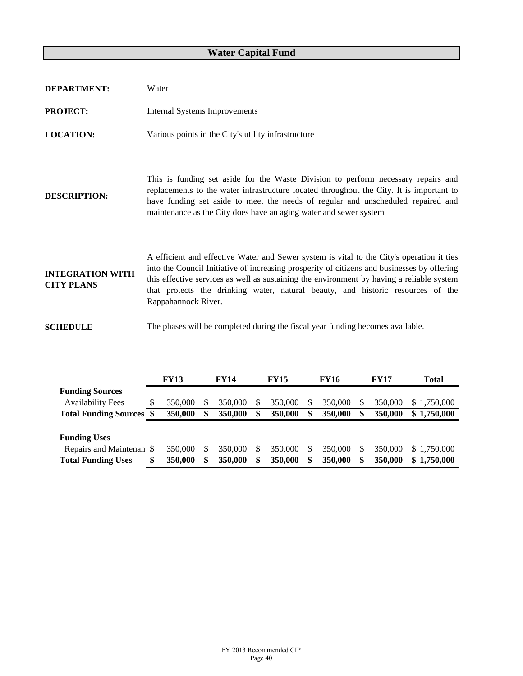## **Water Capital Fund**

| <b>DEPARTMENT:</b>                           | Water                                                                                                                                                                                                                                                                                                                                                                                           |
|----------------------------------------------|-------------------------------------------------------------------------------------------------------------------------------------------------------------------------------------------------------------------------------------------------------------------------------------------------------------------------------------------------------------------------------------------------|
| <b>PROJECT:</b>                              | <b>Internal Systems Improvements</b>                                                                                                                                                                                                                                                                                                                                                            |
| <b>LOCATION:</b>                             | Various points in the City's utility infrastructure                                                                                                                                                                                                                                                                                                                                             |
| <b>DESCRIPTION:</b>                          | This is funding set aside for the Waste Division to perform necessary repairs and<br>replacements to the water infrastructure located throughout the City. It is important to<br>have funding set aside to meet the needs of regular and unscheduled repaired and<br>maintenance as the City does have an aging water and sewer system                                                          |
| <b>INTEGRATION WITH</b><br><b>CITY PLANS</b> | A efficient and effective Water and Sewer system is vital to the City's operation it ties<br>into the Council Initiative of increasing prosperity of citizens and businesses by offering<br>this effective services as well as sustaining the environment by having a reliable system<br>that protects the drinking water, natural beauty, and historic resources of the<br>Rappahannock River. |
| <b>SCHEDULE</b>                              | The phases will be completed during the fiscal year funding becomes available.                                                                                                                                                                                                                                                                                                                  |

|                              | <b>FY13</b> | <b>FY14</b> | <b>FY15</b> | <b>FY16</b> | <b>FY17</b> | Total           |  |
|------------------------------|-------------|-------------|-------------|-------------|-------------|-----------------|--|
| <b>Funding Sources</b>       |             |             |             |             |             |                 |  |
| <b>Availability Fees</b>     | 350,000     | 350,000     | 350,000     | 350,000     | 350,000     | 1.750.000<br>S. |  |
| <b>Total Funding Sources</b> | 350,000     | 350,000     | 350,000     | 350,000     | 350,000     | 1,750,000<br>\$ |  |
|                              |             |             |             |             |             |                 |  |
|                              |             |             |             |             |             |                 |  |
| <b>Funding Uses</b>          |             |             |             |             |             |                 |  |
| Repairs and Maintenan \$     | 350,000     | 350,000     | 350,000     | 350,000     | 350,000     | \$1,750,000     |  |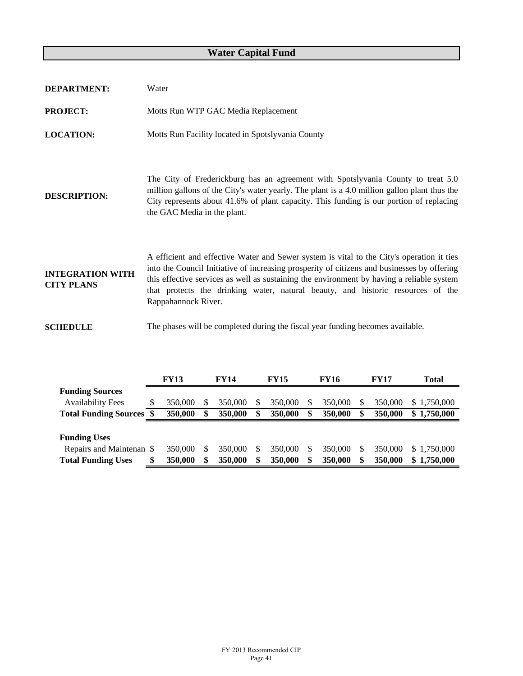## **Water Capital Fund**

| <b>DEPARTMENT:</b>                           | Water                                                                                                                                                                                                                                                                                                                                                                                           |
|----------------------------------------------|-------------------------------------------------------------------------------------------------------------------------------------------------------------------------------------------------------------------------------------------------------------------------------------------------------------------------------------------------------------------------------------------------|
| <b>PROJECT:</b>                              | Motts Run WTP GAC Media Replacement                                                                                                                                                                                                                                                                                                                                                             |
| <b>LOCATION:</b>                             | Motts Run Facility located in Spotslyvania County                                                                                                                                                                                                                                                                                                                                               |
| <b>DESCRIPTION:</b>                          | The City of Frederickburg has an agreement with Spotslyvania County to treat 5.0<br>million gallons of the City's water yearly. The plant is a 4.0 million gallon plant thus the<br>City represents about 41.6% of plant capacity. This funding is our portion of replacing<br>the GAC Media in the plant.                                                                                      |
| <b>INTEGRATION WITH</b><br><b>CITY PLANS</b> | A efficient and effective Water and Sewer system is vital to the City's operation it ties<br>into the Council Initiative of increasing prosperity of citizens and businesses by offering<br>this effective services as well as sustaining the environment by having a reliable system<br>that protects the drinking water, natural beauty, and historic resources of the<br>Rappahannock River. |
| <b>SCHEDULE</b>                              | The phases will be completed during the fiscal year funding becomes available.                                                                                                                                                                                                                                                                                                                  |

|                              | <b>FY13</b> | <b>FY14</b> | <b>FY15</b> | <b>FY16</b> | <b>FY17</b> | <b>Total</b> |    |             |
|------------------------------|-------------|-------------|-------------|-------------|-------------|--------------|----|-------------|
| <b>Funding Sources</b>       |             |             |             |             |             |              |    |             |
| <b>Availability Fees</b>     | 350,000     | 350,000     |             | 350,000     | 350,000     | 350,000      | S. | 1,750,000   |
| <b>Total Funding Sources</b> | 350,000     | 350,000     |             | 350,000     | 350,000     | 350,000      | \$ | 1,750,000   |
|                              |             |             |             |             |             |              |    |             |
|                              |             |             |             |             |             |              |    |             |
| <b>Funding Uses</b>          |             |             |             |             |             |              |    |             |
| Repairs and Maintenan \$     | 350,000     | 350,000     |             | 350,000     | 350,000     | 350,000      |    | \$1,750,000 |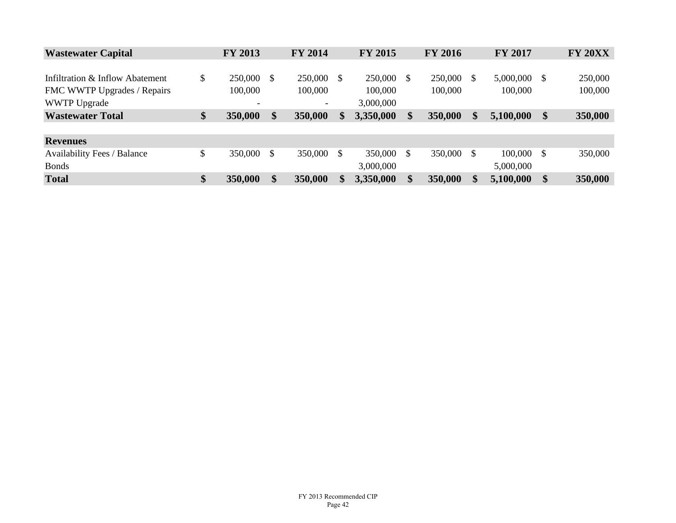| <b>Wastewater Capital</b>          | <b>FY 2013</b>           |     | <b>FY 2014</b> |    | <b>FY 2015</b> |               | <b>FY 2016</b> |     | <b>FY 2017</b> |               | <b>FY 20XX</b> |
|------------------------------------|--------------------------|-----|----------------|----|----------------|---------------|----------------|-----|----------------|---------------|----------------|
|                                    |                          |     |                |    |                |               |                |     |                |               |                |
| Infiltration & Inflow Abatement    | \$<br>250,000            | \$. | 250,000 \$     |    | 250,000        | - \$          | 250,000        | \$. | 5,000,000      | -S            | 250,000        |
| FMC WWTP Upgrades / Repairs        | 100,000                  |     | 100,000        |    | 100,000        |               | 100,000        |     | 100,000        |               | 100,000        |
| <b>WWTP Upgrade</b>                | $\overline{\phantom{a}}$ |     | -              |    | 3,000,000      |               |                |     |                |               |                |
| <b>Wastewater Total</b>            | \$<br>350,000            | \$  | 350,000        | S. | 3,350,000      | \$            | 350,000        | S   | 5,100,000      | \$            | 350,000        |
|                                    |                          |     |                |    |                |               |                |     |                |               |                |
| <b>Revenues</b>                    |                          |     |                |    |                |               |                |     |                |               |                |
| <b>Availability Fees / Balance</b> | \$<br>350,000            | \$  | 350,000 \$     |    | 350,000        | <sup>\$</sup> | 350,000        | S   | 100,000        | -S            | 350,000        |
| <b>Bonds</b>                       |                          |     |                |    | 3,000,000      |               |                |     | 5,000,000      |               |                |
| <b>Total</b>                       | \$<br>350,000            | \$  | 350,000        |    | 3,350,000      | \$            | 350,000        | \$  | 5,100,000      | $\mathbf{\$}$ | 350,000        |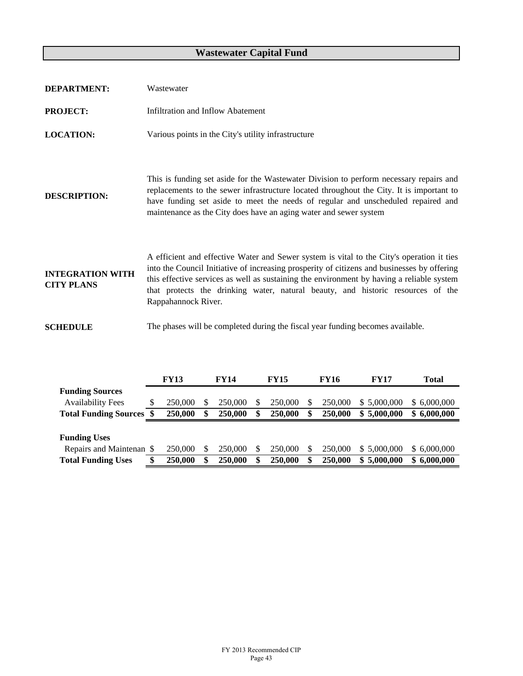## **Wastewater Capital Fund**

| <b>DEPARTMENT:</b>                           | Wastewater                                                                                                                                                                                                                                                                                                                                                                                      |
|----------------------------------------------|-------------------------------------------------------------------------------------------------------------------------------------------------------------------------------------------------------------------------------------------------------------------------------------------------------------------------------------------------------------------------------------------------|
| <b>PROJECT:</b>                              | Infiltration and Inflow Abatement                                                                                                                                                                                                                                                                                                                                                               |
| <b>LOCATION:</b>                             | Various points in the City's utility infrastructure                                                                                                                                                                                                                                                                                                                                             |
| <b>DESCRIPTION:</b>                          | This is funding set aside for the Wastewater Division to perform necessary repairs and<br>replacements to the sewer infrastructure located throughout the City. It is important to<br>have funding set aside to meet the needs of regular and unscheduled repaired and<br>maintenance as the City does have an aging water and sewer system                                                     |
| <b>INTEGRATION WITH</b><br><b>CITY PLANS</b> | A efficient and effective Water and Sewer system is vital to the City's operation it ties<br>into the Council Initiative of increasing prosperity of citizens and businesses by offering<br>this effective services as well as sustaining the environment by having a reliable system<br>that protects the drinking water, natural beauty, and historic resources of the<br>Rappahannock River. |
| <b>SCHEDULE</b>                              | The phases will be completed during the fiscal year funding becomes available.                                                                                                                                                                                                                                                                                                                  |

|                              | <b>FY13</b> | <b>FY14</b> |    | <b>FY15</b> | <b>FY16</b> | <b>FY17</b>      | Total       |
|------------------------------|-------------|-------------|----|-------------|-------------|------------------|-------------|
| <b>Funding Sources</b>       |             |             |    |             |             |                  |             |
| <b>Availability Fees</b>     | 250,000     | 250,000     |    | 250,000     | 250,000     | 5,000,000<br>S.  | \$6,000,000 |
| <b>Total Funding Sources</b> | 250,000     | 250,000     |    | 250,000     | 250,000     | 5,000,000<br>\$. | \$6,000,000 |
|                              |             |             |    |             |             |                  |             |
|                              |             |             |    |             |             |                  |             |
| <b>Funding Uses</b>          |             |             |    |             |             |                  |             |
| Repairs and Maintenan \$     | 250,000     | 250,000     | S. | 250,000     | 250,000     | 5,000,000<br>S.  | \$6,000,000 |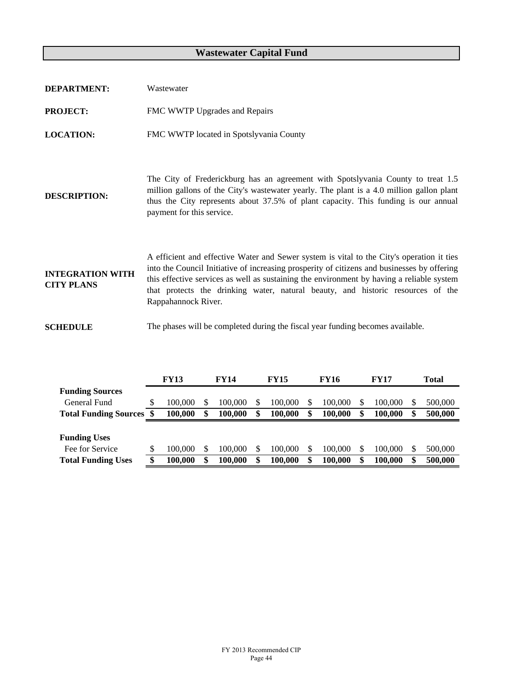## **Wastewater Capital Fund**

| <b>DEPARTMENT:</b>                           | Wastewater                                                                                                                                                                                                                                                                                                                                                                                      |
|----------------------------------------------|-------------------------------------------------------------------------------------------------------------------------------------------------------------------------------------------------------------------------------------------------------------------------------------------------------------------------------------------------------------------------------------------------|
| <b>PROJECT:</b>                              | FMC WWTP Upgrades and Repairs                                                                                                                                                                                                                                                                                                                                                                   |
| <b>LOCATION:</b>                             | FMC WWTP located in Spotslyvania County                                                                                                                                                                                                                                                                                                                                                         |
| <b>DESCRIPTION:</b>                          | The City of Frederickburg has an agreement with Spotslyvania County to treat 1.5<br>million gallons of the City's wastewater yearly. The plant is a 4.0 million gallon plant<br>thus the City represents about 37.5% of plant capacity. This funding is our annual<br>payment for this service.                                                                                                 |
| <b>INTEGRATION WITH</b><br><b>CITY PLANS</b> | A efficient and effective Water and Sewer system is vital to the City's operation it ties<br>into the Council Initiative of increasing prosperity of citizens and businesses by offering<br>this effective services as well as sustaining the environment by having a reliable system<br>that protects the drinking water, natural beauty, and historic resources of the<br>Rappahannock River. |
| <b>SCHEDULE</b>                              | The phases will be completed during the fiscal year funding becomes available.                                                                                                                                                                                                                                                                                                                  |

|                              |    | <b>FY13</b> |   | <b>FY14</b> |    | <b>FY15</b> | FY16    |   | <b>FY17</b> | Total |         |  |
|------------------------------|----|-------------|---|-------------|----|-------------|---------|---|-------------|-------|---------|--|
| <b>Funding Sources</b>       |    |             |   |             |    |             |         |   |             |       |         |  |
| General Fund                 | S  | 100.000     |   | 100.000     | S  | 100,000     | 100.000 | S | 100,000     | S     | 500,000 |  |
| <b>Total Funding Sources</b> |    | 100.000     | S | 100.000     | \$ | 100.000     | 100.000 | S | 100.000     | \$    | 500,000 |  |
|                              |    |             |   |             |    |             |         |   |             |       |         |  |
| <b>Funding Uses</b>          |    |             |   |             |    |             |         |   |             |       |         |  |
| Fee for Service              |    | 100,000     |   | 100.000     | S. | 100,000     | 100.000 | S | 100,000     | S     | 500,000 |  |
| <b>Total Funding Uses</b>    | Ф. | 100.000     | S | 100.000     | \$ | 100.000     | 100.000 |   | 100.000     | \$    | 500,000 |  |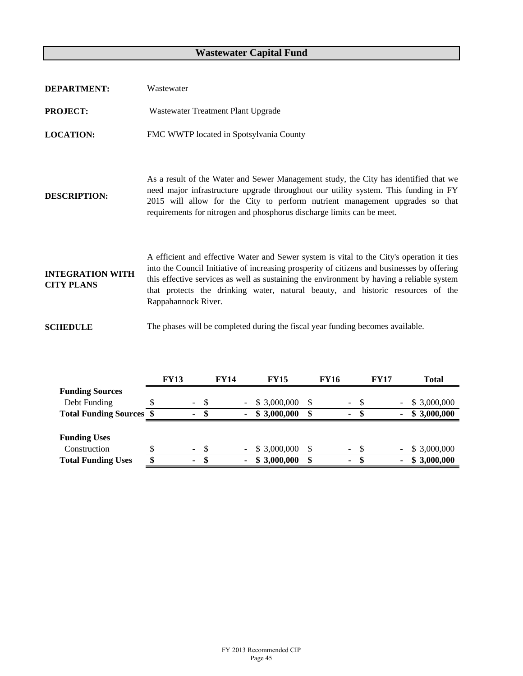## **Wastewater Capital Fund**

| <b>DEPARTMENT:</b>                           | Wastewater                                                                                                                                                                                                                                                                                                                                                                                      |
|----------------------------------------------|-------------------------------------------------------------------------------------------------------------------------------------------------------------------------------------------------------------------------------------------------------------------------------------------------------------------------------------------------------------------------------------------------|
| <b>PROJECT:</b>                              | Wastewater Treatment Plant Upgrade                                                                                                                                                                                                                                                                                                                                                              |
| <b>LOCATION:</b>                             | FMC WWTP located in Spotsylvania County                                                                                                                                                                                                                                                                                                                                                         |
| <b>DESCRIPTION:</b>                          | As a result of the Water and Sewer Management study, the City has identified that we<br>need major infrastructure upgrade throughout our utility system. This funding in FY<br>2015 will allow for the City to perform nutrient management upgrades so that<br>requirements for nitrogen and phosphorus discharge limits can be meet.                                                           |
| <b>INTEGRATION WITH</b><br><b>CITY PLANS</b> | A efficient and effective Water and Sewer system is vital to the City's operation it ties<br>into the Council Initiative of increasing prosperity of citizens and businesses by offering<br>this effective services as well as sustaining the environment by having a reliable system<br>that protects the drinking water, natural beauty, and historic resources of the<br>Rappahannock River. |
| <b>SCHEDULE</b>                              | The phases will be completed during the fiscal year funding becomes available.                                                                                                                                                                                                                                                                                                                  |

|                                 |   | <b>FY13</b>    |      | <b>FY14</b> |        | <b>FY15</b> | <b>FY16</b> |                          |    | <b>FY17</b> |  | <b>Total</b> |
|---------------------------------|---|----------------|------|-------------|--------|-------------|-------------|--------------------------|----|-------------|--|--------------|
| <b>Funding Sources</b>          |   |                |      |             |        |             |             |                          |    |             |  |              |
| Debt Funding                    |   | $\sim$         | -S   |             | $\sim$ | \$3,000,000 |             | $\overline{\phantom{0}}$ | -8 |             |  | \$3,000,000  |
| <b>Total Funding Sources \$</b> |   | ۰              |      |             |        | \$3,000,000 |             | $\blacksquare$           |    |             |  | \$3,000,000  |
|                                 |   |                |      |             |        |             |             |                          |    |             |  |              |
| <b>Funding Uses</b>             |   |                |      |             |        |             |             |                          |    |             |  |              |
| Construction                    |   | $\blacksquare$ | - \$ |             |        | \$3,000,000 |             | - \$                     |    |             |  | \$3,000,000  |
| <b>Total Funding Uses</b>       | ¢ | ٠              | -S   |             | ۰.     | \$3,000,000 |             | $\blacksquare$           | -8 |             |  | \$3,000,000  |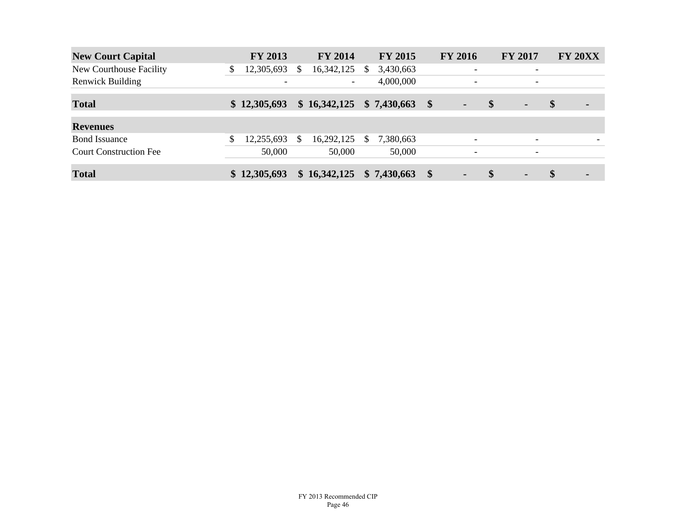| <b>New Court Capital</b>      | <b>FY 2013</b>           | <b>FY 2014</b>           |    | <b>FY 2015</b> |                   | <b>FY 2016</b>           |                   | <b>FY 2017</b>           | <b>FY 20XX</b>       |
|-------------------------------|--------------------------|--------------------------|----|----------------|-------------------|--------------------------|-------------------|--------------------------|----------------------|
| New Courthouse Facility       | \$<br>12,305,693         | \$<br>16,342,125         | S  | 3,430,663      |                   | $\overline{\phantom{a}}$ |                   | $\overline{\phantom{a}}$ |                      |
| <b>Renwick Building</b>       | $\overline{\phantom{0}}$ | $\overline{\phantom{a}}$ |    | 4,000,000      |                   | $\overline{\phantom{a}}$ |                   | $\overline{\phantom{0}}$ |                      |
| <b>Total</b>                  | \$12,305,693             | \$16,342,125             |    | \$7,430,663    | $\boldsymbol{\$}$ | $\blacksquare$           | $\boldsymbol{\$}$ | $\blacksquare$           | \$<br>$\blacksquare$ |
| <b>Revenues</b>               |                          |                          |    |                |                   |                          |                   |                          |                      |
| <b>Bond</b> Issuance          | 12,255,693               | \$<br>16,292,125         | \$ | 7,380,663      |                   | $\overline{\phantom{a}}$ |                   | $\overline{\phantom{0}}$ |                      |
| <b>Court Construction Fee</b> | 50,000                   | 50,000                   |    | 50,000         |                   | $\overline{\phantom{0}}$ |                   | $\overline{\phantom{a}}$ |                      |
| <b>Total</b>                  | \$12,305,693             | \$16,342,125             |    | \$7,430,663    | $\boldsymbol{\$}$ | $\blacksquare$           | $\mathbf{\$}$     | $\blacksquare$           | \$<br>۰              |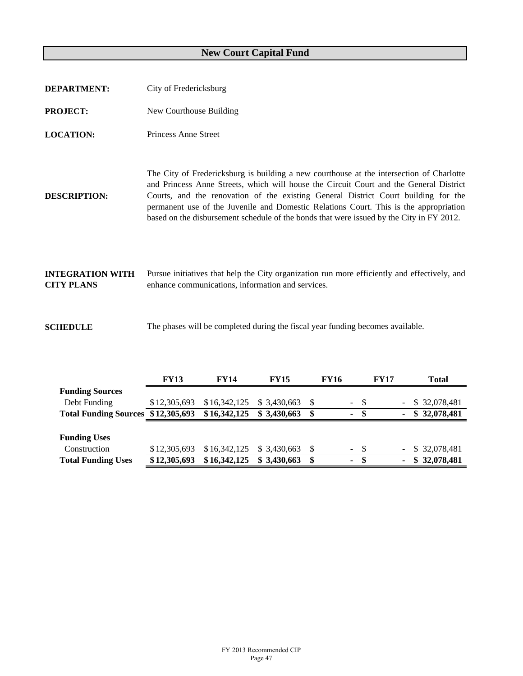# **New Court Capital Fund**

| <b>DEPARTMENT:</b>                           | City of Fredericksburg                                                                                                                                                                                                                                                                                                                                                                                                                                        |
|----------------------------------------------|---------------------------------------------------------------------------------------------------------------------------------------------------------------------------------------------------------------------------------------------------------------------------------------------------------------------------------------------------------------------------------------------------------------------------------------------------------------|
| <b>PROJECT:</b>                              | New Courthouse Building                                                                                                                                                                                                                                                                                                                                                                                                                                       |
| <b>LOCATION:</b>                             | Princess Anne Street                                                                                                                                                                                                                                                                                                                                                                                                                                          |
| <b>DESCRIPTION:</b>                          | The City of Fredericksburg is building a new courthouse at the intersection of Charlotte<br>and Princess Anne Streets, which will house the Circuit Court and the General District<br>Courts, and the renovation of the existing General District Court building for the<br>permanent use of the Juvenile and Domestic Relations Court. This is the appropriation<br>based on the disbursement schedule of the bonds that were issued by the City in FY 2012. |
| <b>INTEGRATION WITH</b><br><b>CITY PLANS</b> | Pursue initiatives that help the City organization run more efficiently and effectively, and<br>enhance communications, information and services.                                                                                                                                                                                                                                                                                                             |

**SCHEDULE** The phases will be completed during the fiscal year funding becomes available.

|                              | <b>FY13</b>  | <b>FY14</b>  | <b>FY15</b>  | <b>FY16</b> |                | <b>FY17</b> |        | <b>Total</b>    |  |
|------------------------------|--------------|--------------|--------------|-------------|----------------|-------------|--------|-----------------|--|
| <b>Funding Sources</b>       |              |              |              |             |                |             |        |                 |  |
| Debt Funding                 | \$12,305,693 | \$16,342,125 | \$ 3.430.663 |             | - \$<br>$\sim$ |             |        | \$ 32,078,481   |  |
| <b>Total Funding Sources</b> | \$12,305,693 | \$16,342,125 | \$3,430,663  | \$          | -SS<br>۰.      |             | ٠      | 32,078,481<br>S |  |
|                              |              |              |              |             |                |             |        |                 |  |
|                              |              |              |              |             |                |             |        |                 |  |
| <b>Funding Uses</b>          |              |              |              |             |                |             |        |                 |  |
| Construction                 | \$12,305,693 | \$16,342,125 | \$ 3.430,663 |             | $-$ \$         |             | $\sim$ | \$ 32,078,481   |  |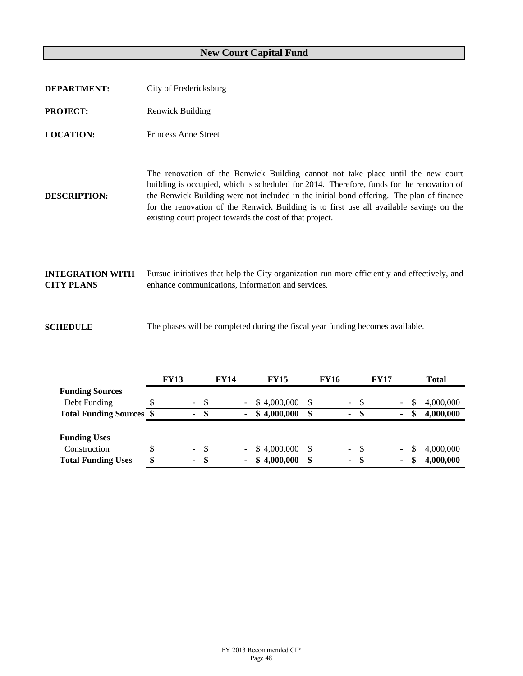## **New Court Capital Fund**

| <b>DEPARTMENT:</b>                           | City of Fredericksburg                                                                                                                                                                                                                                                                                                                                                                                                           |
|----------------------------------------------|----------------------------------------------------------------------------------------------------------------------------------------------------------------------------------------------------------------------------------------------------------------------------------------------------------------------------------------------------------------------------------------------------------------------------------|
| <b>PROJECT:</b>                              | <b>Renwick Building</b>                                                                                                                                                                                                                                                                                                                                                                                                          |
| <b>LOCATION:</b>                             | Princess Anne Street                                                                                                                                                                                                                                                                                                                                                                                                             |
| <b>DESCRIPTION:</b>                          | The renovation of the Renwick Building cannot not take place until the new court<br>building is occupied, which is scheduled for 2014. Therefore, funds for the renovation of<br>the Renwick Building were not included in the initial bond offering. The plan of finance<br>for the renovation of the Renwick Building is to first use all available savings on the<br>existing court project towards the cost of that project. |
| <b>INTEGRATION WITH</b><br><b>CITY PLANS</b> | Pursue initiatives that help the City organization run more efficiently and effectively, and<br>enhance communications, information and services.                                                                                                                                                                                                                                                                                |

**SCHEDULE** The phases will be completed during the fiscal year funding becomes available.

|                                 | <b>FY13</b> | <b>FY14</b> |                          | <b>FY15</b>    | <b>FY16</b> |                          | <b>FY17</b>              |    | Total     |
|---------------------------------|-------------|-------------|--------------------------|----------------|-------------|--------------------------|--------------------------|----|-----------|
| <b>Funding Sources</b>          |             |             |                          |                |             |                          |                          |    |           |
| Debt Funding                    | $\sim$      | \$          | $\overline{\phantom{a}}$ | \$4,000,000    | \$          | $\overline{\phantom{a}}$ | Ξ.                       | S  | 4,000,000 |
| <b>Total Funding Sources \$</b> | ٠           | S           | $\blacksquare$           | 4,000,000<br>æ | \$          | ۰                        | ٠                        | S  | 4,000,000 |
|                                 |             |             |                          |                |             |                          |                          |    |           |
| <b>Funding Uses</b>             |             |             |                          |                |             |                          |                          |    |           |
| Construction                    | $\sim$      | S.          | $\overline{\phantom{a}}$ | \$4,000,000    | \$          | $\overline{\phantom{a}}$ | $\overline{\phantom{0}}$ | S  | 4,000,000 |
| <b>Total Funding Uses</b>       | ۰           | S           | ۰                        | 4,000,000      | \$          | ۰                        | ٠                        | \$ | 4,000,000 |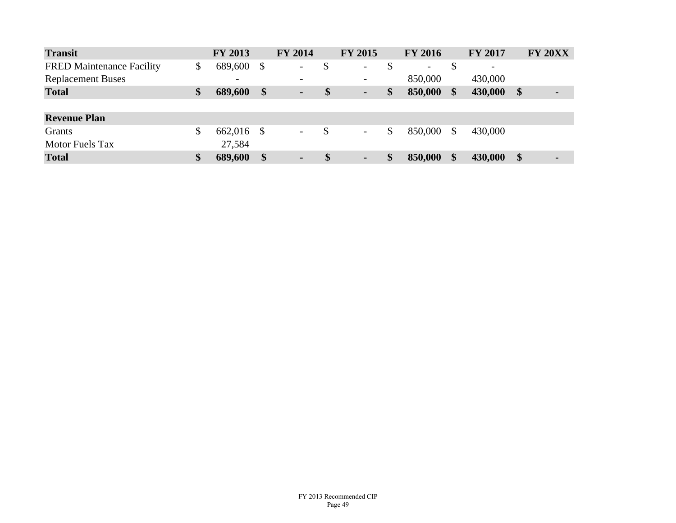| <b>Transit</b>                   | FY 2013                  |                   | <b>FY 2014</b>           |                   | <b>FY 2015</b>           |               | <b>FY 2016</b>           |               | <b>FY 2017</b> |               | <b>FY 20XX</b> |
|----------------------------------|--------------------------|-------------------|--------------------------|-------------------|--------------------------|---------------|--------------------------|---------------|----------------|---------------|----------------|
| <b>FRED Maintenance Facility</b> | \$<br>689,600 \$         |                   | $\overline{\phantom{a}}$ | \$                | $\overline{\phantom{a}}$ | \$            | $\overline{\phantom{a}}$ | \$            | -              |               |                |
| <b>Replacement Buses</b>         | $\overline{\phantom{a}}$ |                   | $\overline{\phantom{a}}$ |                   | $\overline{\phantom{a}}$ |               | 850,000                  |               | 430,000        |               |                |
| <b>Total</b>                     | \$<br>689,600            | $\boldsymbol{\$}$ | ٠                        | $\boldsymbol{\$}$ | ٠                        | \$            | 850,000                  | $\frac{1}{2}$ | 430,000        | \$            | $\blacksquare$ |
|                                  |                          |                   |                          |                   |                          |               |                          |               |                |               |                |
| <b>Revenue Plan</b>              |                          |                   |                          |                   |                          |               |                          |               |                |               |                |
| Grants                           | \$<br>662,016 \$         |                   | $\overline{\phantom{a}}$ | \$                | $\overline{\phantom{a}}$ | \$            | 850,000                  | <sup>\$</sup> | 430,000        |               |                |
| <b>Motor Fuels Tax</b>           | 27,584                   |                   |                          |                   |                          |               |                          |               |                |               |                |
| <b>Total</b>                     | \$<br>689,600            |                   | ٠                        | $\mathbf{\$}$     | ٠                        | $\mathbf{\$}$ | 850,000                  | \$            | 430,000        | $\mathbf{\$}$ | ٠              |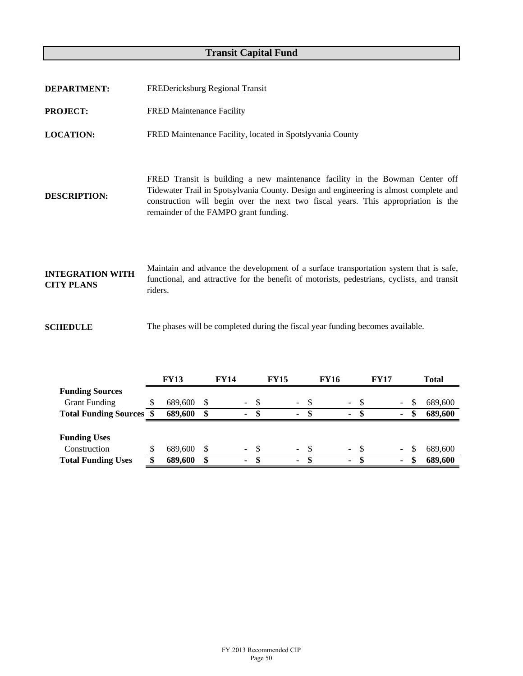## **Transit Capital Fund**

| <b>DEPARTMENT:</b>                           | FREDericksburg Regional Transit                                                                                                                                                                                                                                                                     |
|----------------------------------------------|-----------------------------------------------------------------------------------------------------------------------------------------------------------------------------------------------------------------------------------------------------------------------------------------------------|
| <b>PROJECT:</b>                              | <b>FRED Maintenance Facility</b>                                                                                                                                                                                                                                                                    |
| <b>LOCATION:</b>                             | FRED Maintenance Facility, located in Spotslyvania County                                                                                                                                                                                                                                           |
| <b>DESCRIPTION:</b>                          | FRED Transit is building a new maintenance facility in the Bowman Center off<br>Tidewater Trail in Spotsylvania County. Design and engineering is almost complete and<br>construction will begin over the next two fiscal years. This appropriation is the<br>remainder of the FAMPO grant funding. |
| <b>INTEGRATION WITH</b><br><b>CITY PLANS</b> | Maintain and advance the development of a surface transportation system that is safe,<br>functional, and attractive for the benefit of motorists, pedestrians, cyclists, and transit<br>riders.                                                                                                     |
| <b>SCHEDULE</b>                              | The phases will be completed during the fiscal year funding becomes available.                                                                                                                                                                                                                      |

|                                 | <b>FY13</b> |          | <b>FY14</b> |          |      | <b>FY15</b> |                |      | <b>FY16</b> |          |      | <b>FY17</b> |    |    | <b>Total</b> |
|---------------------------------|-------------|----------|-------------|----------|------|-------------|----------------|------|-------------|----------|------|-------------|----|----|--------------|
| <b>Funding Sources</b>          |             |          |             |          |      |             |                |      |             |          |      |             |    |    |              |
| <b>Grant Funding</b>            | 689,600     | S        |             | $\sim$ . | -S   |             | $\sim$         | - \$ |             | $\equiv$ | - \$ |             |    | S  | 689,600      |
| <b>Total Funding Sources \$</b> | 689,600     | \$       |             | ۰        | S    |             | $\sim$         | п.   |             | ٠        | -SS  |             | ۰. | S  | 689,600      |
|                                 |             |          |             |          |      |             |                |      |             |          |      |             |    |    |              |
| <b>Funding Uses</b>             |             |          |             |          |      |             |                |      |             |          |      |             |    |    |              |
| Construction                    | 689,600     | <b>S</b> |             | $\sim$   | - \$ |             | $\blacksquare$ |      |             | $-$ \$   |      |             |    | S  | 689,600      |
| <b>Total Funding Uses</b>       | 689,600     | \$       |             | ٠        | -S   |             | ٠              | S    |             | ۰.       | - S  |             | ٠  | \$ | 689,600      |